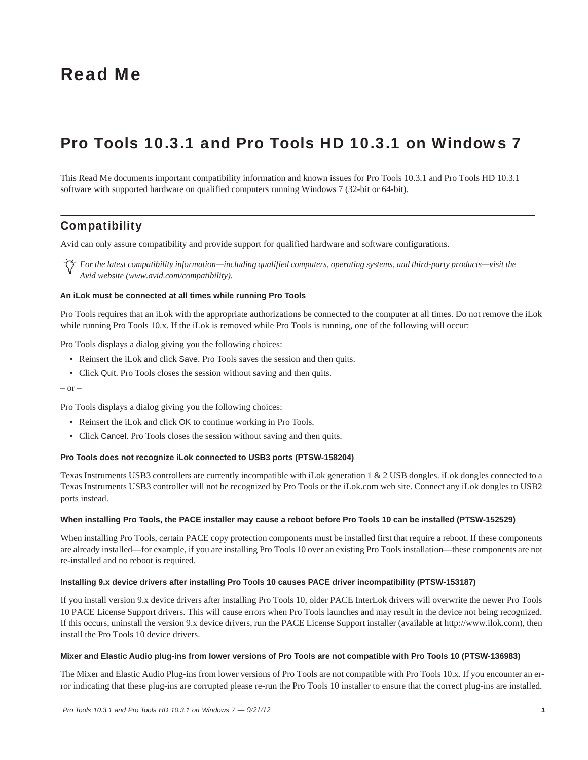# Read Me

# Pro Tools 10.3.1 and Pro Tools HD 10.3.1 on Windows 7

This Read Me documents important compatibility information and known issues for Pro Tools 10.3.1 and Pro Tools HD 10.3.1 software with supported hardware on qualified computers running Windows 7 (32-bit or 64-bit).

# **Compatibility**

Avid can only assure compatibility and provide support for qualified hardware and software configurations.

*For the latest compatibility information—including qualified computers, operating systems, and third-party products—visit the Avid website (www.avid.com/compatibility).*

#### **An iLok must be connected at all times while running Pro Tools**

Pro Tools requires that an iLok with the appropriate authorizations be connected to the computer at all times. Do not remove the iLok while running Pro Tools 10.x. If the iLok is removed while Pro Tools is running, one of the following will occur:

Pro Tools displays a dialog giving you the following choices:

- Reinsert the iLok and click Save. Pro Tools saves the session and then quits.
- Click Quit. Pro Tools closes the session without saving and then quits.

 $-$  or  $-$ 

Pro Tools displays a dialog giving you the following choices:

- Reinsert the iLok and click OK to continue working in Pro Tools.
- Click Cancel. Pro Tools closes the session without saving and then quits.

#### **Pro Tools does not recognize iLok connected to USB3 ports (PTSW-158204)**

Texas Instruments USB3 controllers are currently incompatible with iLok generation 1 & 2 USB dongles. iLok dongles connected to a Texas Instruments USB3 controller will not be recognized by Pro Tools or the iLok.com web site. Connect any iLok dongles to USB2 ports instead.

#### **When installing Pro Tools, the PACE installer may cause a reboot before Pro Tools 10 can be installed (PTSW-152529)**

When installing Pro Tools, certain PACE copy protection components must be installed first that require a reboot. If these components are already installed—for example, if you are installing Pro Tools 10 over an existing Pro Tools installation—these components are not re-installed and no reboot is required.

#### **Installing 9.x device drivers after installing Pro Tools 10 causes PACE driver incompatibility (PTSW-153187)**

If you install version 9.x device drivers after installing Pro Tools 10, older PACE InterLok drivers will overwrite the newer Pro Tools 10 PACE License Support drivers. This will cause errors when Pro Tools launches and may result in the device not being recognized. If this occurs, uninstall the version 9.x device drivers, run the PACE License Support installer (available at http://www.ilok.com), then install the Pro Tools 10 device drivers.

#### **Mixer and Elastic Audio plug-ins from lower versions of Pro Tools are not compatible with Pro Tools 10 (PTSW-136983)**

The Mixer and Elastic Audio Plug-ins from lower versions of Pro Tools are not compatible with Pro Tools 10.x. If you encounter an error indicating that these plug-ins are corrupted please re-run the Pro Tools 10 installer to ensure that the correct plug-ins are installed.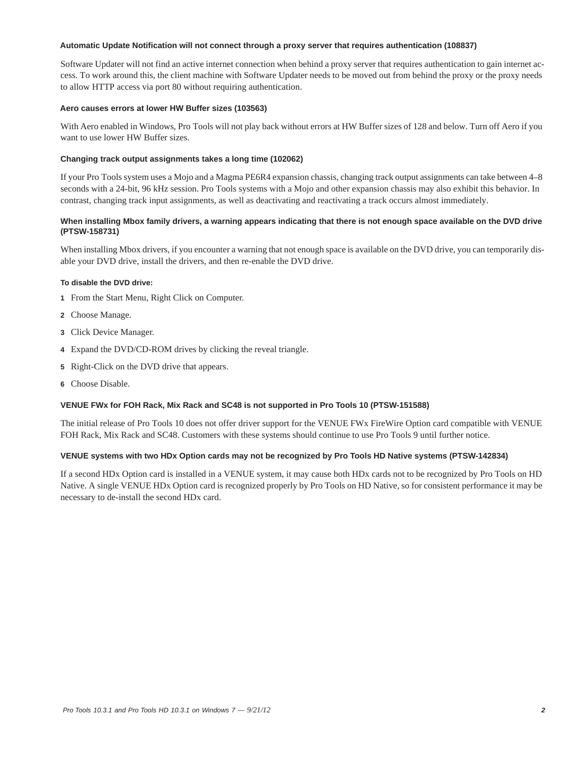#### **Automatic Update Notification will not connect through a proxy server that requires authentication (108837)**

Software Updater will not find an active internet connection when behind a proxy server that requires authentication to gain internet access. To work around this, the client machine with Software Updater needs to be moved out from behind the proxy or the proxy needs to allow HTTP access via port 80 without requiring authentication.

#### **Aero causes errors at lower HW Buffer sizes (103563)**

With Aero enabled in Windows, Pro Tools will not play back without errors at HW Buffer sizes of 128 and below. Turn off Aero if you want to use lower HW Buffer sizes.

### **Changing track output assignments takes a long time (102062)**

If your Pro Tools system uses a Mojo and a Magma PE6R4 expansion chassis, changing track output assignments can take between 4–8 seconds with a 24-bit, 96 kHz session. Pro Tools systems with a Mojo and other expansion chassis may also exhibit this behavior. In contrast, changing track input assignments, as well as deactivating and reactivating a track occurs almost immediately.

# **When installing Mbox family drivers, a warning appears indicating that there is not enough space available on the DVD drive (PTSW-158731)**

When installing Mbox drivers, if you encounter a warning that not enough space is available on the DVD drive, you can temporarily disable your DVD drive, install the drivers, and then re-enable the DVD drive.

#### **To disable the DVD drive:**

- **1** From the Start Menu, Right Click on Computer.
- **2** Choose Manage.
- **3** Click Device Manager.
- **4** Expand the DVD/CD-ROM drives by clicking the reveal triangle.
- **5** Right-Click on the DVD drive that appears.
- **6** Choose Disable.

# **VENUE FWx for FOH Rack, Mix Rack and SC48 is not supported in Pro Tools 10 (PTSW-151588)**

The initial release of Pro Tools 10 does not offer driver support for the VENUE FWx FireWire Option card compatible with VENUE FOH Rack, Mix Rack and SC48. Customers with these systems should continue to use Pro Tools 9 until further notice.

#### **VENUE systems with two HDx Option cards may not be recognized by Pro Tools HD Native systems (PTSW-142834)**

If a second HDx Option card is installed in a VENUE system, it may cause both HDx cards not to be recognized by Pro Tools on HD Native. A single VENUE HDx Option card is recognized properly by Pro Tools on HD Native, so for consistent performance it may be necessary to de-install the second HDx card.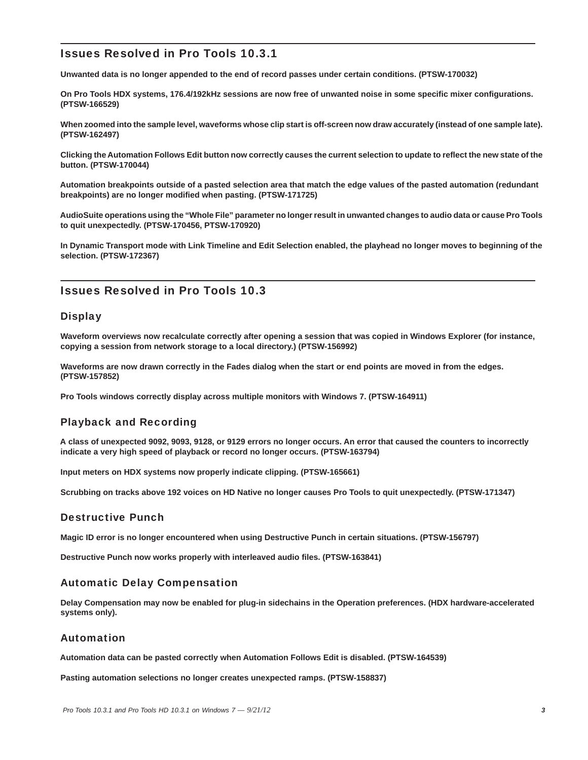# Issues Resolved in Pro Tools 10.3.1

**Unwanted data is no longer appended to the end of record passes under certain conditions. (PTSW-170032)**

**On Pro Tools HDX systems, 176.4/192kHz sessions are now free of unwanted noise in some specific mixer configurations. (PTSW-166529)**

**When zoomed into the sample level, waveforms whose clip start is off-screen now draw accurately (instead of one sample late). (PTSW-162497)**

**Clicking the Automation Follows Edit button now correctly causes the current selection to update to reflect the new state of the button. (PTSW-170044)**

**Automation breakpoints outside of a pasted selection area that match the edge values of the pasted automation (redundant breakpoints) are no longer modified when pasting. (PTSW-171725)**

**AudioSuite operations using the "Whole File" parameter no longer result in unwanted changes to audio data or cause Pro Tools to quit unexpectedly. (PTSW-170456, PTSW-170920)**

**In Dynamic Transport mode with Link Timeline and Edit Selection enabled, the playhead no longer moves to beginning of the selection. (PTSW-172367)**

# Issues Resolved in Pro Tools 10.3

# **Display**

**Waveform overviews now recalculate correctly after opening a session that was copied in Windows Explorer (for instance, copying a session from network storage to a local directory.) (PTSW-156992)**

**Waveforms are now drawn correctly in the Fades dialog when the start or end points are moved in from the edges. (PTSW-157852)**

**Pro Tools windows correctly display across multiple monitors with Windows 7. (PTSW-164911)**

# Playback and Recording

**A class of unexpected 9092, 9093, 9128, or 9129 errors no longer occurs. An error that caused the counters to incorrectly indicate a very high speed of playback or record no longer occurs. (PTSW-163794)**

**Input meters on HDX systems now properly indicate clipping. (PTSW-165661)**

**Scrubbing on tracks above 192 voices on HD Native no longer causes Pro Tools to quit unexpectedly. (PTSW-171347)**

# Destructive Punch

**Magic ID error is no longer encountered when using Destructive Punch in certain situations. (PTSW-156797)**

**Destructive Punch now works properly with interleaved audio files. (PTSW-163841)**

# Automatic Delay Compensation

**Delay Compensation may now be enabled for plug-in sidechains in the Operation preferences. (HDX hardware-accelerated systems only).**

# Automation

**Automation data can be pasted correctly when Automation Follows Edit is disabled. (PTSW-164539)**

**Pasting automation selections no longer creates unexpected ramps. (PTSW-158837)**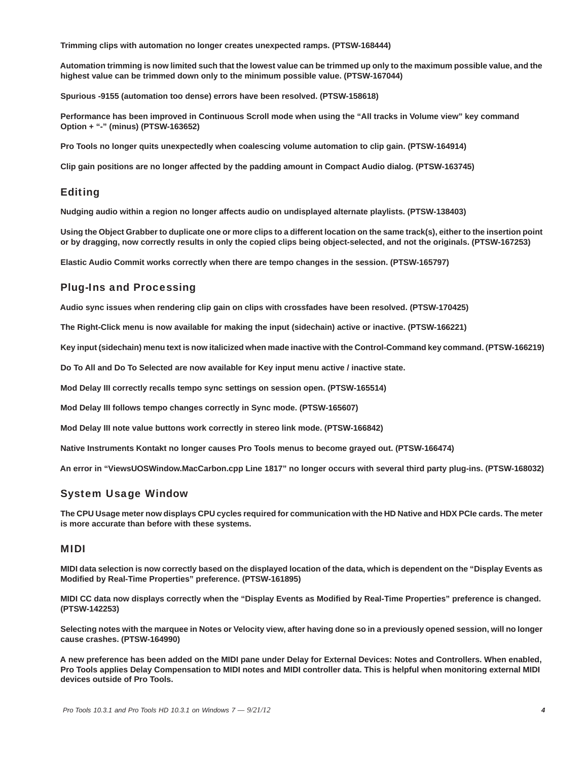**Trimming clips with automation no longer creates unexpected ramps. (PTSW-168444)**

**Automation trimming is now limited such that the lowest value can be trimmed up only to the maximum possible value, and the highest value can be trimmed down only to the minimum possible value. (PTSW-167044)**

**Spurious -9155 (automation too dense) errors have been resolved. (PTSW-158618)**

**Performance has been improved in Continuous Scroll mode when using the "All tracks in Volume view" key command Option + "-" (minus) (PTSW-163652)**

**Pro Tools no longer quits unexpectedly when coalescing volume automation to clip gain. (PTSW-164914)**

**Clip gain positions are no longer affected by the padding amount in Compact Audio dialog. (PTSW-163745)**

# Editing

**Nudging audio within a region no longer affects audio on undisplayed alternate playlists. (PTSW-138403)**

**Using the Object Grabber to duplicate one or more clips to a different location on the same track(s), either to the insertion point or by dragging, now correctly results in only the copied clips being object-selected, and not the originals. (PTSW-167253)**

**Elastic Audio Commit works correctly when there are tempo changes in the session. (PTSW-165797)**

# Plug-Ins and Processing

**Audio sync issues when rendering clip gain on clips with crossfades have been resolved. (PTSW-170425)**

**The Right-Click menu is now available for making the input (sidechain) active or inactive. (PTSW-166221)**

**Key input (sidechain) menu text is now italicized when made inactive with the Control-Command key command. (PTSW-166219)**

**Do To All and Do To Selected are now available for Key input menu active / inactive state.**

**Mod Delay III correctly recalls tempo sync settings on session open. (PTSW-165514)**

**Mod Delay III follows tempo changes correctly in Sync mode. (PTSW-165607)**

**Mod Delay III note value buttons work correctly in stereo link mode. (PTSW-166842)**

**Native Instruments Kontakt no longer causes Pro Tools menus to become grayed out. (PTSW-166474)**

**An error in "ViewsUOSWindow.MacCarbon.cpp Line 1817" no longer occurs with several third party plug-ins. (PTSW-168032)**

# System Usage Window

**The CPU Usage meter now displays CPU cycles required for communication with the HD Native and HDX PCIe cards. The meter is more accurate than before with these systems.** 

# MIDI

**MIDI data selection is now correctly based on the displayed location of the data, which is dependent on the "Display Events as Modified by Real-Time Properties" preference. (PTSW-161895)**

**MIDI CC data now displays correctly when the "Display Events as Modified by Real-Time Properties" preference is changed. (PTSW-142253)**

**Selecting notes with the marquee in Notes or Velocity view, after having done so in a previously opened session, will no longer cause crashes. (PTSW-164990)**

**A new preference has been added on the MIDI pane under Delay for External Devices: Notes and Controllers. When enabled, Pro Tools applies Delay Compensation to MIDI notes and MIDI controller data. This is helpful when monitoring external MIDI devices outside of Pro Tools.**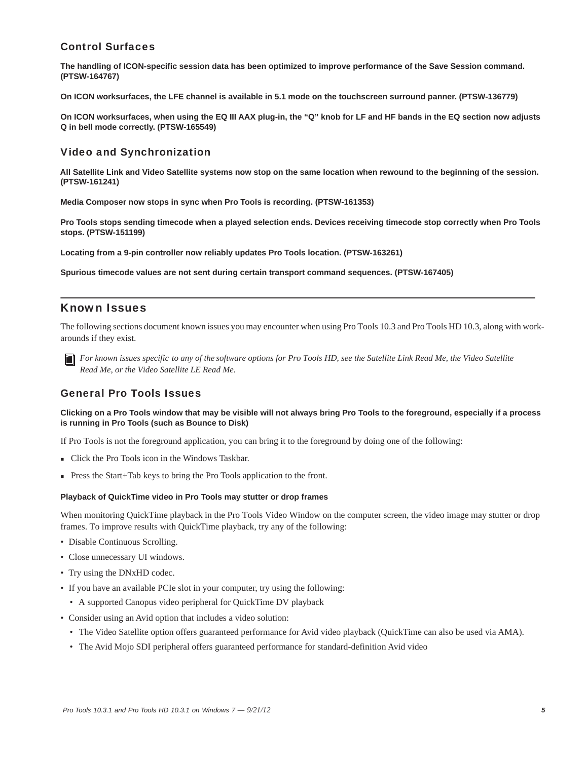# Control Surfaces

**The handling of ICON-specific session data has been optimized to improve performance of the Save Session command. (PTSW-164767)**

**On ICON worksurfaces, the LFE channel is available in 5.1 mode on the touchscreen surround panner. (PTSW-136779)**

**On ICON worksurfaces, when using the EQ III AAX plug-in, the "Q" knob for LF and HF bands in the EQ section now adjusts Q in bell mode correctly. (PTSW-165549)**

# Video and Synchronization

**All Satellite Link and Video Satellite systems now stop on the same location when rewound to the beginning of the session. (PTSW-161241)**

**Media Composer now stops in sync when Pro Tools is recording. (PTSW-161353)**

**Pro Tools stops sending timecode when a played selection ends. Devices receiving timecode stop correctly when Pro Tools stops. (PTSW-151199)**

**Locating from a 9-pin controller now reliably updates Pro Tools location. (PTSW-163261)**

**Spurious timecode values are not sent during certain transport command sequences. (PTSW-167405)**

# Known Issues

The following sections document known issues you may encounter when using Pro Tools 10.3 and Pro Tools HD 10.3, along with workarounds if they exist.



*For known issues specific to any of the software options for Pro Tools HD, see the Satellite Link Read Me, the Video Satellite Read Me, or the Video Satellite LE Read Me.*

# General Pro Tools Issues

**Clicking on a Pro Tools window that may be visible will not always bring Pro Tools to the foreground, especially if a process is running in Pro Tools (such as Bounce to Disk)**

If Pro Tools is not the foreground application, you can bring it to the foreground by doing one of the following:

- Click the Pro Tools icon in the Windows Taskbar.
- Press the Start+Tab keys to bring the Pro Tools application to the front.

#### **Playback of QuickTime video in Pro Tools may stutter or drop frames**

When monitoring QuickTime playback in the Pro Tools Video Window on the computer screen, the video image may stutter or drop frames. To improve results with QuickTime playback, try any of the following:

- Disable Continuous Scrolling.
- Close unnecessary UI windows.
- Try using the DNxHD codec.
- If you have an available PCIe slot in your computer, try using the following:
	- A supported Canopus video peripheral for QuickTime DV playback
- Consider using an Avid option that includes a video solution:
	- The Video Satellite option offers guaranteed performance for Avid video playback (QuickTime can also be used via AMA).
	- The Avid Mojo SDI peripheral offers guaranteed performance for standard-definition Avid video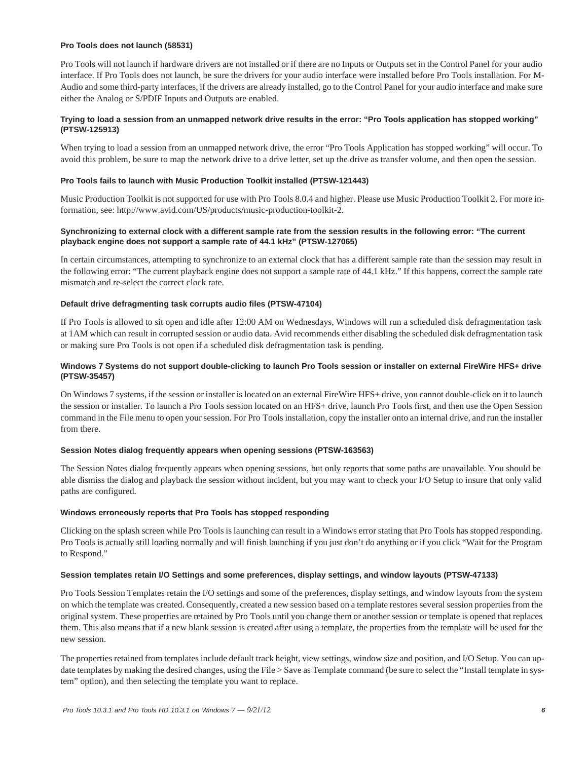#### **Pro Tools does not launch (58531)**

Pro Tools will not launch if hardware drivers are not installed or if there are no Inputs or Outputs set in the Control Panel for your audio interface. If Pro Tools does not launch, be sure the drivers for your audio interface were installed before Pro Tools installation. For M-Audio and some third-party interfaces, if the drivers are already installed, go to the Control Panel for your audio interface and make sure either the Analog or S/PDIF Inputs and Outputs are enabled.

# **Trying to load a session from an unmapped network drive results in the error: "Pro Tools application has stopped working" (PTSW-125913)**

When trying to load a session from an unmapped network drive, the error "Pro Tools Application has stopped working" will occur. To avoid this problem, be sure to map the network drive to a drive letter, set up the drive as transfer volume, and then open the session.

### **Pro Tools fails to launch with Music Production Toolkit installed (PTSW-121443)**

Music Production Toolkit is not supported for use with Pro Tools 8.0.4 and higher. Please use Music Production Toolkit 2. For more information, see: http://www.avid.com/US/products/music-production-toolkit-2.

### **Synchronizing to external clock with a different sample rate from the session results in the following error: "The current playback engine does not support a sample rate of 44.1 kHz" (PTSW-127065)**

In certain circumstances, attempting to synchronize to an external clock that has a different sample rate than the session may result in the following error: "The current playback engine does not support a sample rate of 44.1 kHz." If this happens, correct the sample rate mismatch and re-select the correct clock rate.

#### **Default drive defragmenting task corrupts audio files (PTSW-47104)**

If Pro Tools is allowed to sit open and idle after 12:00 AM on Wednesdays, Windows will run a scheduled disk defragmentation task at 1AM which can result in corrupted session or audio data. Avid recommends either disabling the scheduled disk defragmentation task or making sure Pro Tools is not open if a scheduled disk defragmentation task is pending.

# **Windows 7 Systems do not support double-clicking to launch Pro Tools session or installer on external FireWire HFS+ drive (PTSW-35457)**

On Windows 7 systems, if the session or installer is located on an external FireWire HFS+ drive, you cannot double-click on it to launch the session or installer. To launch a Pro Tools session located on an HFS+ drive, launch Pro Tools first, and then use the Open Session command in the File menu to open your session. For Pro Tools installation, copy the installer onto an internal drive, and run the installer from there.

#### **Session Notes dialog frequently appears when opening sessions (PTSW-163563)**

The Session Notes dialog frequently appears when opening sessions, but only reports that some paths are unavailable. You should be able dismiss the dialog and playback the session without incident, but you may want to check your I/O Setup to insure that only valid paths are configured.

# **Windows erroneously reports that Pro Tools has stopped responding**

Clicking on the splash screen while Pro Tools is launching can result in a Windows error stating that Pro Tools has stopped responding. Pro Tools is actually still loading normally and will finish launching if you just don't do anything or if you click "Wait for the Program to Respond."

#### **Session templates retain I/O Settings and some preferences, display settings, and window layouts (PTSW-47133)**

Pro Tools Session Templates retain the I/O settings and some of the preferences, display settings, and window layouts from the system on which the template was created. Consequently, created a new session based on a template restores several session properties from the original system. These properties are retained by Pro Tools until you change them or another session or template is opened that replaces them. This also means that if a new blank session is created after using a template, the properties from the template will be used for the new session.

The properties retained from templates include default track height, view settings, window size and position, and I/O Setup. You can update templates by making the desired changes, using the File > Save as Template command (be sure to select the "Install template in system" option), and then selecting the template you want to replace.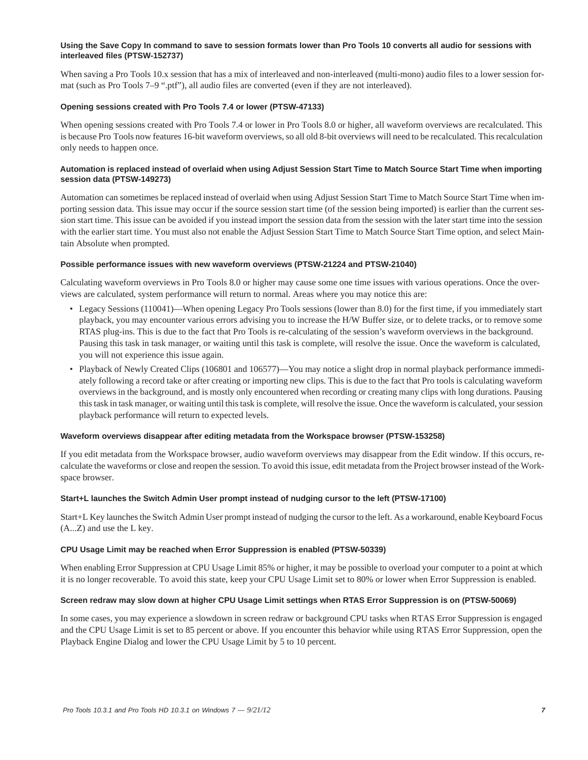### **Using the Save Copy In command to save to session formats lower than Pro Tools 10 converts all audio for sessions with interleaved files (PTSW-152737)**

When saving a Pro Tools 10.x session that has a mix of interleaved and non-interleaved (multi-mono) audio files to a lower session format (such as Pro Tools 7–9 ".ptf"), all audio files are converted (even if they are not interleaved).

#### **Opening sessions created with Pro Tools 7.4 or lower (PTSW-47133)**

When opening sessions created with Pro Tools 7.4 or lower in Pro Tools 8.0 or higher, all waveform overviews are recalculated. This is because Pro Tools now features 16-bit waveform overviews, so all old 8-bit overviews will need to be recalculated. This recalculation only needs to happen once.

# **Automation is replaced instead of overlaid when using Adjust Session Start Time to Match Source Start Time when importing session data (PTSW-149273)**

Automation can sometimes be replaced instead of overlaid when using Adjust Session Start Time to Match Source Start Time when importing session data. This issue may occur if the source session start time (of the session being imported) is earlier than the current session start time. This issue can be avoided if you instead import the session data from the session with the later start time into the session with the earlier start time. You must also not enable the Adjust Session Start Time to Match Source Start Time option, and select Maintain Absolute when prompted.

#### **Possible performance issues with new waveform overviews (PTSW-21224 and PTSW-21040)**

Calculating waveform overviews in Pro Tools 8.0 or higher may cause some one time issues with various operations. Once the overviews are calculated, system performance will return to normal. Areas where you may notice this are:

- Legacy Sessions (110041)—When opening Legacy Pro Tools sessions (lower than 8.0) for the first time, if you immediately start playback, you may encounter various errors advising you to increase the H/W Buffer size, or to delete tracks, or to remove some RTAS plug-ins. This is due to the fact that Pro Tools is re-calculating of the session's waveform overviews in the background. Pausing this task in task manager, or waiting until this task is complete, will resolve the issue. Once the waveform is calculated, you will not experience this issue again.
- Playback of Newly Created Clips (106801 and 106577)—You may notice a slight drop in normal playback performance immediately following a record take or after creating or importing new clips. This is due to the fact that Pro tools is calculating waveform overviews in the background, and is mostly only encountered when recording or creating many clips with long durations. Pausing this task in task manager, or waiting until this task is complete, will resolve the issue. Once the waveform is calculated, your session playback performance will return to expected levels.

#### **Waveform overviews disappear after editing metadata from the Workspace browser (PTSW-153258)**

If you edit metadata from the Workspace browser, audio waveform overviews may disappear from the Edit window. If this occurs, recalculate the waveforms or close and reopen the session. To avoid this issue, edit metadata from the Project browser instead of the Workspace browser.

#### **Start+L launches the Switch Admin User prompt instead of nudging cursor to the left (PTSW-17100)**

Start+L Key launches the Switch Admin User prompt instead of nudging the cursor to the left. As a workaround, enable Keyboard Focus (A...Z) and use the L key.

#### **CPU Usage Limit may be reached when Error Suppression is enabled (PTSW-50339)**

When enabling Error Suppression at CPU Usage Limit 85% or higher, it may be possible to overload your computer to a point at which it is no longer recoverable. To avoid this state, keep your CPU Usage Limit set to 80% or lower when Error Suppression is enabled.

#### **Screen redraw may slow down at higher CPU Usage Limit settings when RTAS Error Suppression is on (PTSW-50069)**

In some cases, you may experience a slowdown in screen redraw or background CPU tasks when RTAS Error Suppression is engaged and the CPU Usage Limit is set to 85 percent or above. If you encounter this behavior while using RTAS Error Suppression, open the Playback Engine Dialog and lower the CPU Usage Limit by 5 to 10 percent.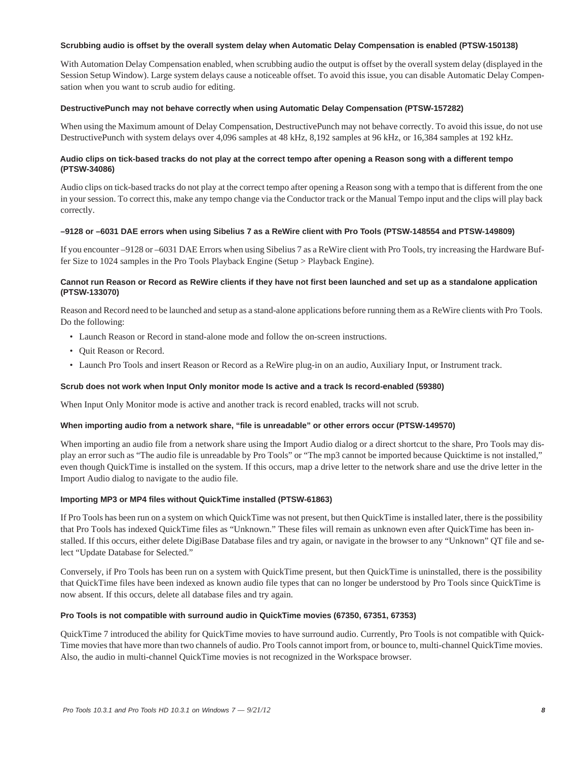#### **Scrubbing audio is offset by the overall system delay when Automatic Delay Compensation is enabled (PTSW-150138)**

With Automation Delay Compensation enabled, when scrubbing audio the output is offset by the overall system delay (displayed in the Session Setup Window). Large system delays cause a noticeable offset. To avoid this issue, you can disable Automatic Delay Compensation when you want to scrub audio for editing.

### **DestructivePunch may not behave correctly when using Automatic Delay Compensation (PTSW-157282)**

When using the Maximum amount of Delay Compensation, DestructivePunch may not behave correctly. To avoid this issue, do not use DestructivePunch with system delays over 4,096 samples at 48 kHz, 8,192 samples at 96 kHz, or 16,384 samples at 192 kHz.

# **Audio clips on tick-based tracks do not play at the correct tempo after opening a Reason song with a different tempo (PTSW-34086)**

Audio clips on tick-based tracks do not play at the correct tempo after opening a Reason song with a tempo that is different from the one in your session. To correct this, make any tempo change via the Conductor track or the Manual Tempo input and the clips will play back correctly.

#### **–9128 or –6031 DAE errors when using Sibelius 7 as a ReWire client with Pro Tools (PTSW-148554 and PTSW-149809)**

If you encounter –9128 or –6031 DAE Errors when using Sibelius 7 as a ReWire client with Pro Tools, try increasing the Hardware Buffer Size to 1024 samples in the Pro Tools Playback Engine (Setup > Playback Engine).

# **Cannot run Reason or Record as ReWire clients if they have not first been launched and set up as a standalone application (PTSW-133070)**

Reason and Record need to be launched and setup as a stand-alone applications before running them as a ReWire clients with Pro Tools. Do the following:

- Launch Reason or Record in stand-alone mode and follow the on-screen instructions.
- Quit Reason or Record.
- Launch Pro Tools and insert Reason or Record as a ReWire plug-in on an audio, Auxiliary Input, or Instrument track.

# **Scrub does not work when Input Only monitor mode Is active and a track Is record-enabled (59380)**

When Input Only Monitor mode is active and another track is record enabled, tracks will not scrub.

# **When importing audio from a network share, "file is unreadable" or other errors occur (PTSW-149570)**

When importing an audio file from a network share using the Import Audio dialog or a direct shortcut to the share, Pro Tools may display an error such as "The audio file is unreadable by Pro Tools" or "The mp3 cannot be imported because Quicktime is not installed," even though QuickTime is installed on the system. If this occurs, map a drive letter to the network share and use the drive letter in the Import Audio dialog to navigate to the audio file.

# **Importing MP3 or MP4 files without QuickTime installed (PTSW-61863)**

If Pro Tools has been run on a system on which QuickTime was not present, but then QuickTime is installed later, there is the possibility that Pro Tools has indexed QuickTime files as "Unknown." These files will remain as unknown even after QuickTime has been installed. If this occurs, either delete DigiBase Database files and try again, or navigate in the browser to any "Unknown" QT file and select "Update Database for Selected."

Conversely, if Pro Tools has been run on a system with QuickTime present, but then QuickTime is uninstalled, there is the possibility that QuickTime files have been indexed as known audio file types that can no longer be understood by Pro Tools since QuickTime is now absent. If this occurs, delete all database files and try again.

# **Pro Tools is not compatible with surround audio in QuickTime movies (67350, 67351, 67353)**

QuickTime 7 introduced the ability for QuickTime movies to have surround audio. Currently, Pro Tools is not compatible with Quick-Time movies that have more than two channels of audio. Pro Tools cannot import from, or bounce to, multi-channel QuickTime movies. Also, the audio in multi-channel QuickTime movies is not recognized in the Workspace browser.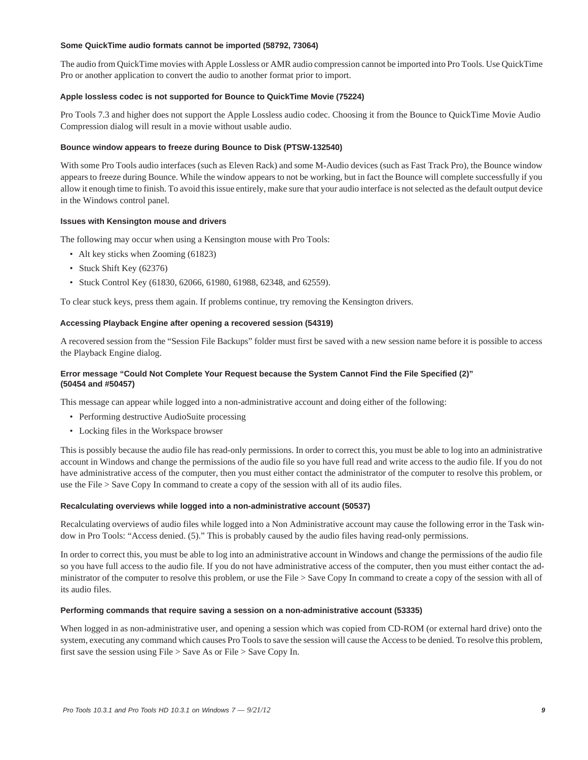#### **Some QuickTime audio formats cannot be imported (58792, 73064)**

The audio from QuickTime movies with Apple Lossless or AMR audio compression cannot be imported into Pro Tools. Use QuickTime Pro or another application to convert the audio to another format prior to import.

### **Apple lossless codec is not supported for Bounce to QuickTime Movie (75224)**

Pro Tools 7.3 and higher does not support the Apple Lossless audio codec. Choosing it from the Bounce to QuickTime Movie Audio Compression dialog will result in a movie without usable audio.

### **Bounce window appears to freeze during Bounce to Disk (PTSW-132540)**

With some Pro Tools audio interfaces (such as Eleven Rack) and some M-Audio devices (such as Fast Track Pro), the Bounce window appears to freeze during Bounce. While the window appears to not be working, but in fact the Bounce will complete successfully if you allow it enough time to finish. To avoid this issue entirely, make sure that your audio interface is not selected as the default output device in the Windows control panel.

#### **Issues with Kensington mouse and drivers**

The following may occur when using a Kensington mouse with Pro Tools:

- Alt key sticks when Zooming (61823)
- Stuck Shift Key (62376)
- Stuck Control Key (61830, 62066, 61980, 61988, 62348, and 62559).

To clear stuck keys, press them again. If problems continue, try removing the Kensington drivers.

#### **Accessing Playback Engine after opening a recovered session (54319)**

A recovered session from the "Session File Backups" folder must first be saved with a new session name before it is possible to access the Playback Engine dialog.

# **Error message "Could Not Complete Your Request because the System Cannot Find the File Specified (2)" (50454 and #50457)**

This message can appear while logged into a non-administrative account and doing either of the following:

- Performing destructive AudioSuite processing
- Locking files in the Workspace browser

This is possibly because the audio file has read-only permissions. In order to correct this, you must be able to log into an administrative account in Windows and change the permissions of the audio file so you have full read and write access to the audio file. If you do not have administrative access of the computer, then you must either contact the administrator of the computer to resolve this problem, or use the File > Save Copy In command to create a copy of the session with all of its audio files.

#### **Recalculating overviews while logged into a non-administrative account (50537)**

Recalculating overviews of audio files while logged into a Non Administrative account may cause the following error in the Task window in Pro Tools: "Access denied. (5)." This is probably caused by the audio files having read-only permissions.

In order to correct this, you must be able to log into an administrative account in Windows and change the permissions of the audio file so you have full access to the audio file. If you do not have administrative access of the computer, then you must either contact the administrator of the computer to resolve this problem, or use the File > Save Copy In command to create a copy of the session with all of its audio files.

#### **Performing commands that require saving a session on a non-administrative account (53335)**

When logged in as non-administrative user, and opening a session which was copied from CD-ROM (or external hard drive) onto the system, executing any command which causes Pro Tools to save the session will cause the Access to be denied. To resolve this problem, first save the session using File > Save As or File > Save Copy In.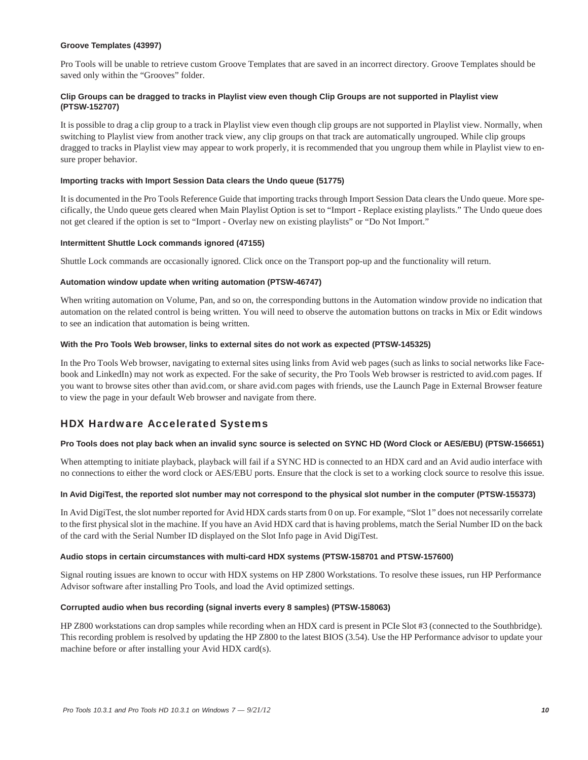#### **Groove Templates (43997)**

Pro Tools will be unable to retrieve custom Groove Templates that are saved in an incorrect directory. Groove Templates should be saved only within the "Grooves" folder.

# **Clip Groups can be dragged to tracks in Playlist view even though Clip Groups are not supported in Playlist view (PTSW-152707)**

It is possible to drag a clip group to a track in Playlist view even though clip groups are not supported in Playlist view. Normally, when switching to Playlist view from another track view, any clip groups on that track are automatically ungrouped. While clip groups dragged to tracks in Playlist view may appear to work properly, it is recommended that you ungroup them while in Playlist view to ensure proper behavior.

### **Importing tracks with Import Session Data clears the Undo queue (51775)**

It is documented in the Pro Tools Reference Guide that importing tracks through Import Session Data clears the Undo queue. More specifically, the Undo queue gets cleared when Main Playlist Option is set to "Import - Replace existing playlists." The Undo queue does not get cleared if the option is set to "Import - Overlay new on existing playlists" or "Do Not Import."

#### **Intermittent Shuttle Lock commands ignored (47155)**

Shuttle Lock commands are occasionally ignored. Click once on the Transport pop-up and the functionality will return.

#### **Automation window update when writing automation (PTSW-46747)**

When writing automation on Volume, Pan, and so on, the corresponding buttons in the Automation window provide no indication that automation on the related control is being written. You will need to observe the automation buttons on tracks in Mix or Edit windows to see an indication that automation is being written.

#### **With the Pro Tools Web browser, links to external sites do not work as expected (PTSW-145325)**

In the Pro Tools Web browser, navigating to external sites using links from Avid web pages (such as links to social networks like Facebook and LinkedIn) may not work as expected. For the sake of security, the Pro Tools Web browser is restricted to avid.com pages. If you want to browse sites other than avid.com, or share avid.com pages with friends, use the Launch Page in External Browser feature to view the page in your default Web browser and navigate from there.

# HDX Hardware Accelerated Systems

# **Pro Tools does not play back when an invalid sync source is selected on SYNC HD (Word Clock or AES/EBU) (PTSW-156651)**

When attempting to initiate playback, playback will fail if a SYNC HD is connected to an HDX card and an Avid audio interface with no connections to either the word clock or AES/EBU ports. Ensure that the clock is set to a working clock source to resolve this issue.

#### **In Avid DigiTest, the reported slot number may not correspond to the physical slot number in the computer (PTSW-155373)**

In Avid DigiTest, the slot number reported for Avid HDX cards starts from 0 on up. For example, "Slot 1" does not necessarily correlate to the first physical slot in the machine. If you have an Avid HDX card that is having problems, match the Serial Number ID on the back of the card with the Serial Number ID displayed on the Slot Info page in Avid DigiTest.

#### **Audio stops in certain circumstances with multi-card HDX systems (PTSW-158701 and PTSW-157600)**

Signal routing issues are known to occur with HDX systems on HP Z800 Workstations. To resolve these issues, run HP Performance Advisor software after installing Pro Tools, and load the Avid optimized settings.

#### **Corrupted audio when bus recording (signal inverts every 8 samples) (PTSW-158063)**

HP Z800 workstations can drop samples while recording when an HDX card is present in PCIe Slot #3 (connected to the Southbridge). This recording problem is resolved by updating the HP Z800 to the latest BIOS (3.54). Use the HP Performance advisor to update your machine before or after installing your Avid HDX card(s).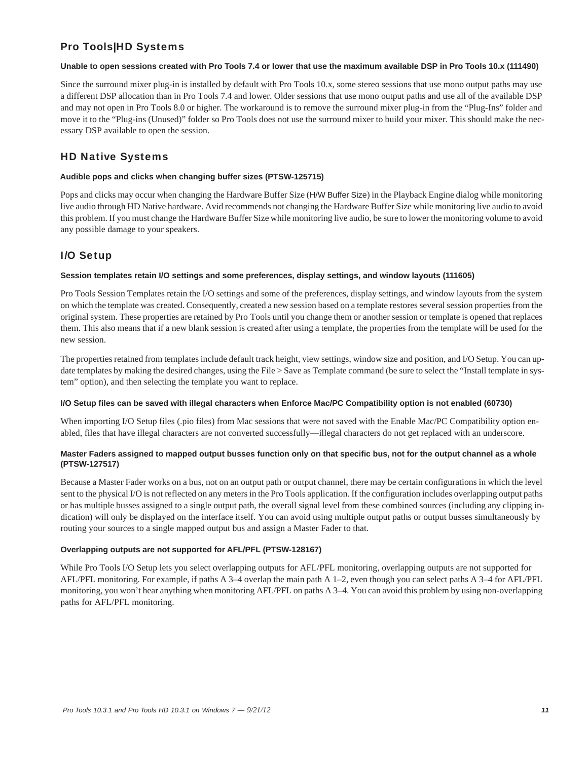# Pro Tools|HD Systems

# **Unable to open sessions created with Pro Tools 7.4 or lower that use the maximum available DSP in Pro Tools 10.x (111490)**

Since the surround mixer plug-in is installed by default with Pro Tools 10.x, some stereo sessions that use mono output paths may use a different DSP allocation than in Pro Tools 7.4 and lower. Older sessions that use mono output paths and use all of the available DSP and may not open in Pro Tools 8.0 or higher. The workaround is to remove the surround mixer plug-in from the "Plug-Ins" folder and move it to the "Plug-ins (Unused)" folder so Pro Tools does not use the surround mixer to build your mixer. This should make the necessary DSP available to open the session.

# HD Native Systems

# **Audible pops and clicks when changing buffer sizes (PTSW-125715)**

Pops and clicks may occur when changing the Hardware Buffer Size (H/W Buffer Size) in the Playback Engine dialog while monitoring live audio through HD Native hardware. Avid recommends not changing the Hardware Buffer Size while monitoring live audio to avoid this problem. If you must change the Hardware Buffer Size while monitoring live audio, be sure to lower the monitoring volume to avoid any possible damage to your speakers.

# I/O Setup

# **Session templates retain I/O settings and some preferences, display settings, and window layouts (111605)**

Pro Tools Session Templates retain the I/O settings and some of the preferences, display settings, and window layouts from the system on which the template was created. Consequently, created a new session based on a template restores several session properties from the original system. These properties are retained by Pro Tools until you change them or another session or template is opened that replaces them. This also means that if a new blank session is created after using a template, the properties from the template will be used for the new session.

The properties retained from templates include default track height, view settings, window size and position, and I/O Setup. You can update templates by making the desired changes, using the File > Save as Template command (be sure to select the "Install template in system" option), and then selecting the template you want to replace.

# **I/O Setup files can be saved with illegal characters when Enforce Mac/PC Compatibility option is not enabled (60730)**

When importing I/O Setup files (.pio files) from Mac sessions that were not saved with the Enable Mac/PC Compatibility option enabled, files that have illegal characters are not converted successfully—illegal characters do not get replaced with an underscore.

# **Master Faders assigned to mapped output busses function only on that specific bus, not for the output channel as a whole (PTSW-127517)**

Because a Master Fader works on a bus, not on an output path or output channel, there may be certain configurations in which the level sent to the physical I/O is not reflected on any meters in the Pro Tools application. If the configuration includes overlapping output paths or has multiple busses assigned to a single output path, the overall signal level from these combined sources (including any clipping indication) will only be displayed on the interface itself. You can avoid using multiple output paths or output busses simultaneously by routing your sources to a single mapped output bus and assign a Master Fader to that.

# **Overlapping outputs are not supported for AFL/PFL (PTSW-128167)**

While Pro Tools I/O Setup lets you select overlapping outputs for AFL/PFL monitoring, overlapping outputs are not supported for AFL/PFL monitoring. For example, if paths A 3–4 overlap the main path A 1–2, even though you can select paths A 3–4 for AFL/PFL monitoring, you won't hear anything when monitoring AFL/PFL on paths A 3–4. You can avoid this problem by using non-overlapping paths for AFL/PFL monitoring.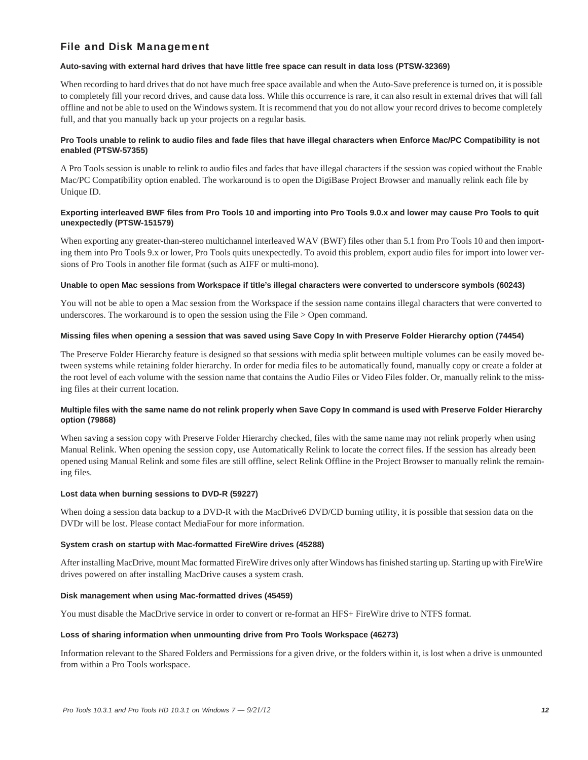# File and Disk Management

# **Auto-saving with external hard drives that have little free space can result in data loss (PTSW-32369)**

When recording to hard drives that do not have much free space available and when the Auto-Save preference is turned on, it is possible to completely fill your record drives, and cause data loss. While this occurrence is rare, it can also result in external drives that will fall offline and not be able to used on the Windows system. It is recommend that you do not allow your record drives to become completely full, and that you manually back up your projects on a regular basis.

# **Pro Tools unable to relink to audio files and fade files that have illegal characters when Enforce Mac/PC Compatibility is not enabled (PTSW-57355)**

A Pro Tools session is unable to relink to audio files and fades that have illegal characters if the session was copied without the Enable Mac/PC Compatibility option enabled. The workaround is to open the DigiBase Project Browser and manually relink each file by Unique ID.

# **Exporting interleaved BWF files from Pro Tools 10 and importing into Pro Tools 9.0.x and lower may cause Pro Tools to quit unexpectedly (PTSW-151579)**

When exporting any greater-than-stereo multichannel interleaved WAV (BWF) files other than 5.1 from Pro Tools 10 and then importing them into Pro Tools 9.x or lower, Pro Tools quits unexpectedly. To avoid this problem, export audio files for import into lower versions of Pro Tools in another file format (such as AIFF or multi-mono).

#### **Unable to open Mac sessions from Workspace if title's illegal characters were converted to underscore symbols (60243)**

You will not be able to open a Mac session from the Workspace if the session name contains illegal characters that were converted to underscores. The workaround is to open the session using the File > Open command.

#### **Missing files when opening a session that was saved using Save Copy In with Preserve Folder Hierarchy option (74454)**

The Preserve Folder Hierarchy feature is designed so that sessions with media split between multiple volumes can be easily moved between systems while retaining folder hierarchy. In order for media files to be automatically found, manually copy or create a folder at the root level of each volume with the session name that contains the Audio Files or Video Files folder. Or, manually relink to the missing files at their current location.

# **Multiple files with the same name do not relink properly when Save Copy In command is used with Preserve Folder Hierarchy option (79868)**

When saving a session copy with Preserve Folder Hierarchy checked, files with the same name may not relink properly when using Manual Relink. When opening the session copy, use Automatically Relink to locate the correct files. If the session has already been opened using Manual Relink and some files are still offline, select Relink Offline in the Project Browser to manually relink the remaining files.

# **Lost data when burning sessions to DVD-R (59227)**

When doing a session data backup to a DVD-R with the MacDrive6 DVD/CD burning utility, it is possible that session data on the DVDr will be lost. Please contact MediaFour for more information.

# **System crash on startup with Mac-formatted FireWire drives (45288)**

After installing MacDrive, mount Mac formatted FireWire drives only after Windows has finished starting up. Starting up with FireWire drives powered on after installing MacDrive causes a system crash.

# **Disk management when using Mac-formatted drives (45459)**

You must disable the MacDrive service in order to convert or re-format an HFS+ FireWire drive to NTFS format.

#### **Loss of sharing information when unmounting drive from Pro Tools Workspace (46273)**

Information relevant to the Shared Folders and Permissions for a given drive, or the folders within it, is lost when a drive is unmounted from within a Pro Tools workspace.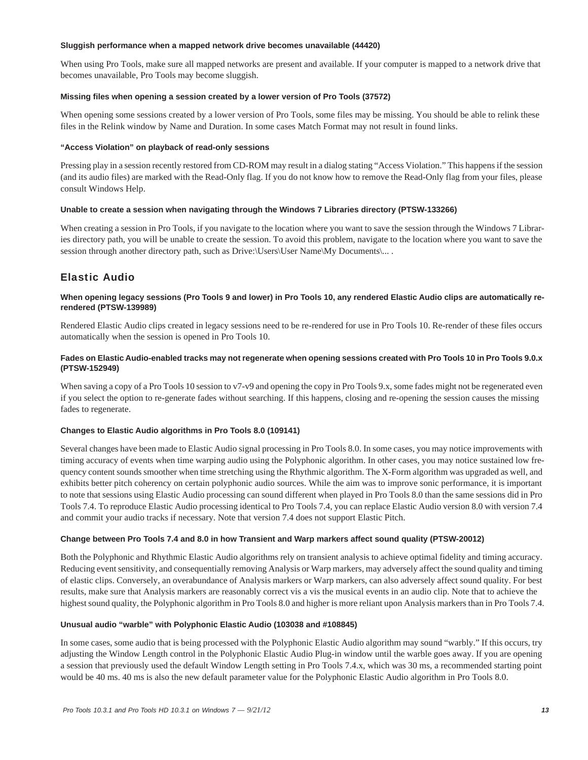#### **Sluggish performance when a mapped network drive becomes unavailable (44420)**

When using Pro Tools, make sure all mapped networks are present and available. If your computer is mapped to a network drive that becomes unavailable, Pro Tools may become sluggish.

#### **Missing files when opening a session created by a lower version of Pro Tools (37572)**

When opening some sessions created by a lower version of Pro Tools, some files may be missing. You should be able to relink these files in the Relink window by Name and Duration. In some cases Match Format may not result in found links.

### **"Access Violation" on playback of read-only sessions**

Pressing play in a session recently restored from CD-ROM may result in a dialog stating "Access Violation." This happens if the session (and its audio files) are marked with the Read-Only flag. If you do not know how to remove the Read-Only flag from your files, please consult Windows Help.

#### **Unable to create a session when navigating through the Windows 7 Libraries directory (PTSW-133266)**

When creating a session in Pro Tools, if you navigate to the location where you want to save the session through the Windows 7 Libraries directory path, you will be unable to create the session. To avoid this problem, navigate to the location where you want to save the session through another directory path, such as Drive:\Users\User Name\My Documents\... .

# Elastic Audio

# **When opening legacy sessions (Pro Tools 9 and lower) in Pro Tools 10, any rendered Elastic Audio clips are automatically rerendered (PTSW-139989)**

Rendered Elastic Audio clips created in legacy sessions need to be re-rendered for use in Pro Tools 10. Re-render of these files occurs automatically when the session is opened in Pro Tools 10.

# **Fades on Elastic Audio-enabled tracks may not regenerate when opening sessions created with Pro Tools 10 in Pro Tools 9.0.x (PTSW-152949)**

When saving a copy of a Pro Tools 10 session to v7-v9 and opening the copy in Pro Tools 9.x, some fades might not be regenerated even if you select the option to re-generate fades without searching. If this happens, closing and re-opening the session causes the missing fades to regenerate.

# **Changes to Elastic Audio algorithms in Pro Tools 8.0 (109141)**

Several changes have been made to Elastic Audio signal processing in Pro Tools 8.0. In some cases, you may notice improvements with timing accuracy of events when time warping audio using the Polyphonic algorithm. In other cases, you may notice sustained low frequency content sounds smoother when time stretching using the Rhythmic algorithm. The X-Form algorithm was upgraded as well, and exhibits better pitch coherency on certain polyphonic audio sources. While the aim was to improve sonic performance, it is important to note that sessions using Elastic Audio processing can sound different when played in Pro Tools 8.0 than the same sessions did in Pro Tools 7.4. To reproduce Elastic Audio processing identical to Pro Tools 7.4, you can replace Elastic Audio version 8.0 with version 7.4 and commit your audio tracks if necessary. Note that version 7.4 does not support Elastic Pitch.

#### **Change between Pro Tools 7.4 and 8.0 in how Transient and Warp markers affect sound quality (PTSW-20012)**

Both the Polyphonic and Rhythmic Elastic Audio algorithms rely on transient analysis to achieve optimal fidelity and timing accuracy. Reducing event sensitivity, and consequentially removing Analysis or Warp markers, may adversely affect the sound quality and timing of elastic clips. Conversely, an overabundance of Analysis markers or Warp markers, can also adversely affect sound quality. For best results, make sure that Analysis markers are reasonably correct vis a vis the musical events in an audio clip. Note that to achieve the highest sound quality, the Polyphonic algorithm in Pro Tools 8.0 and higher is more reliant upon Analysis markers than in Pro Tools 7.4.

#### **Unusual audio "warble" with Polyphonic Elastic Audio (103038 and #108845)**

In some cases, some audio that is being processed with the Polyphonic Elastic Audio algorithm may sound "warbly." If this occurs, try adjusting the Window Length control in the Polyphonic Elastic Audio Plug-in window until the warble goes away. If you are opening a session that previously used the default Window Length setting in Pro Tools 7.4.x, which was 30 ms, a recommended starting point would be 40 ms. 40 ms is also the new default parameter value for the Polyphonic Elastic Audio algorithm in Pro Tools 8.0.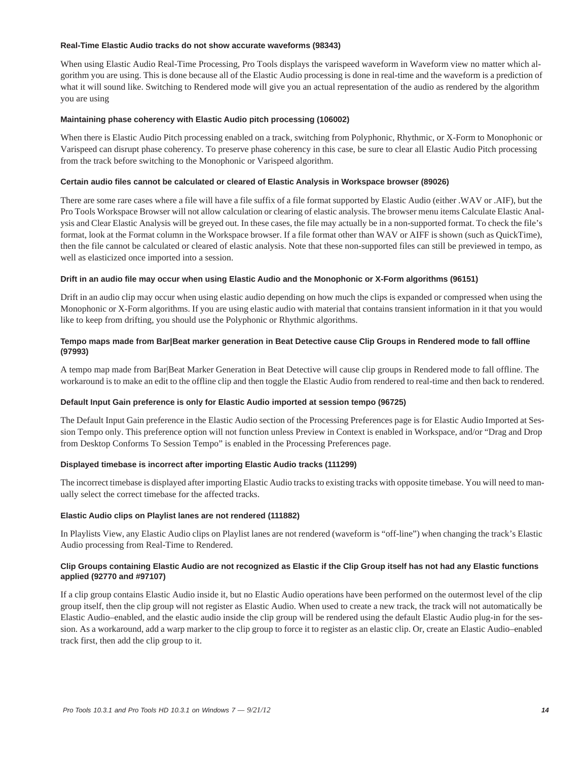#### **Real-Time Elastic Audio tracks do not show accurate waveforms (98343)**

When using Elastic Audio Real-Time Processing, Pro Tools displays the varispeed waveform in Waveform view no matter which algorithm you are using. This is done because all of the Elastic Audio processing is done in real-time and the waveform is a prediction of what it will sound like. Switching to Rendered mode will give you an actual representation of the audio as rendered by the algorithm you are using

### **Maintaining phase coherency with Elastic Audio pitch processing (106002)**

When there is Elastic Audio Pitch processing enabled on a track, switching from Polyphonic, Rhythmic, or X-Form to Monophonic or Varispeed can disrupt phase coherency. To preserve phase coherency in this case, be sure to clear all Elastic Audio Pitch processing from the track before switching to the Monophonic or Varispeed algorithm.

#### **Certain audio files cannot be calculated or cleared of Elastic Analysis in Workspace browser (89026)**

There are some rare cases where a file will have a file suffix of a file format supported by Elastic Audio (either .WAV or .AIF), but the Pro Tools Workspace Browser will not allow calculation or clearing of elastic analysis. The browser menu items Calculate Elastic Analysis and Clear Elastic Analysis will be greyed out. In these cases, the file may actually be in a non-supported format. To check the file's format, look at the Format column in the Workspace browser. If a file format other than WAV or AIFF is shown (such as QuickTime), then the file cannot be calculated or cleared of elastic analysis. Note that these non-supported files can still be previewed in tempo, as well as elasticized once imported into a session.

#### **Drift in an audio file may occur when using Elastic Audio and the Monophonic or X-Form algorithms (96151)**

Drift in an audio clip may occur when using elastic audio depending on how much the clips is expanded or compressed when using the Monophonic or X-Form algorithms. If you are using elastic audio with material that contains transient information in it that you would like to keep from drifting, you should use the Polyphonic or Rhythmic algorithms.

### **Tempo maps made from Bar|Beat marker generation in Beat Detective cause Clip Groups in Rendered mode to fall offline (97993)**

A tempo map made from Bar|Beat Marker Generation in Beat Detective will cause clip groups in Rendered mode to fall offline. The workaround is to make an edit to the offline clip and then toggle the Elastic Audio from rendered to real-time and then back to rendered.

#### **Default Input Gain preference is only for Elastic Audio imported at session tempo (96725)**

The Default Input Gain preference in the Elastic Audio section of the Processing Preferences page is for Elastic Audio Imported at Session Tempo only. This preference option will not function unless Preview in Context is enabled in Workspace, and/or "Drag and Drop from Desktop Conforms To Session Tempo" is enabled in the Processing Preferences page.

# **Displayed timebase is incorrect after importing Elastic Audio tracks (111299)**

The incorrect timebase is displayed after importing Elastic Audio tracks to existing tracks with opposite timebase. You will need to manually select the correct timebase for the affected tracks.

#### **Elastic Audio clips on Playlist lanes are not rendered (111882)**

In Playlists View, any Elastic Audio clips on Playlist lanes are not rendered (waveform is "off-line") when changing the track's Elastic Audio processing from Real-Time to Rendered.

# **Clip Groups containing Elastic Audio are not recognized as Elastic if the Clip Group itself has not had any Elastic functions applied (92770 and #97107)**

If a clip group contains Elastic Audio inside it, but no Elastic Audio operations have been performed on the outermost level of the clip group itself, then the clip group will not register as Elastic Audio. When used to create a new track, the track will not automatically be Elastic Audio–enabled, and the elastic audio inside the clip group will be rendered using the default Elastic Audio plug-in for the session. As a workaround, add a warp marker to the clip group to force it to register as an elastic clip. Or, create an Elastic Audio–enabled track first, then add the clip group to it.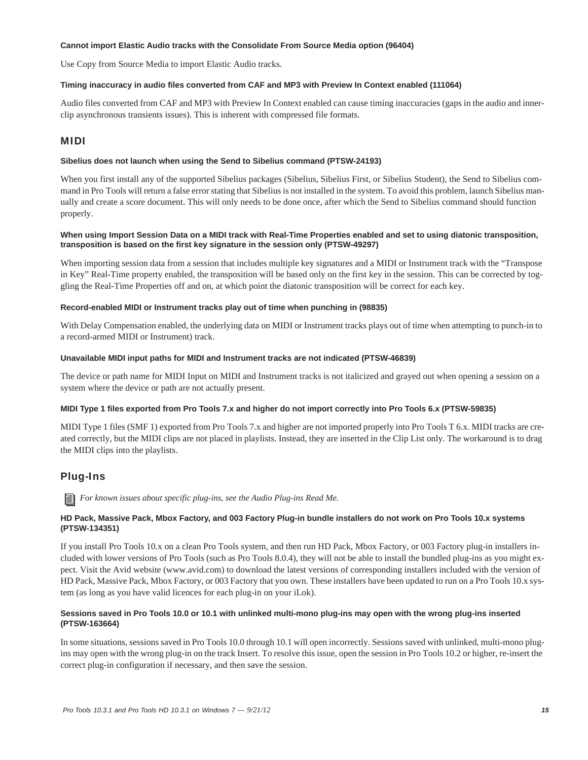### **Cannot import Elastic Audio tracks with the Consolidate From Source Media option (96404)**

Use Copy from Source Media to import Elastic Audio tracks.

#### **Timing inaccuracy in audio files converted from CAF and MP3 with Preview In Context enabled (111064)**

Audio files converted from CAF and MP3 with Preview In Context enabled can cause timing inaccuracies (gaps in the audio and innerclip asynchronous transients issues). This is inherent with compressed file formats.

# MIDI

#### **Sibelius does not launch when using the Send to Sibelius command (PTSW-24193)**

When you first install any of the supported Sibelius packages (Sibelius, Sibelius First, or Sibelius Student), the Send to Sibelius command in Pro Tools will return a false error stating that Sibelius is not installed in the system. To avoid this problem, launch Sibelius manually and create a score document. This will only needs to be done once, after which the Send to Sibelius command should function properly.

#### **When using Import Session Data on a MIDI track with Real-Time Properties enabled and set to using diatonic transposition, transposition is based on the first key signature in the session only (PTSW-49297)**

When importing session data from a session that includes multiple key signatures and a MIDI or Instrument track with the "Transpose in Key" Real-Time property enabled, the transposition will be based only on the first key in the session. This can be corrected by toggling the Real-Time Properties off and on, at which point the diatonic transposition will be correct for each key.

#### **Record-enabled MIDI or Instrument tracks play out of time when punching in (98835)**

With Delay Compensation enabled, the underlying data on MIDI or Instrument tracks plays out of time when attempting to punch-in to a record-armed MIDI or Instrument) track.

#### **Unavailable MIDI input paths for MIDI and Instrument tracks are not indicated (PTSW-46839)**

The device or path name for MIDI Input on MIDI and Instrument tracks is not italicized and grayed out when opening a session on a system where the device or path are not actually present.

# **MIDI Type 1 files exported from Pro Tools 7.x and higher do not import correctly into Pro Tools 6.x (PTSW-59835)**

MIDI Type 1 files (SMF 1) exported from Pro Tools 7.x and higher are not imported properly into Pro Tools T 6.x. MIDI tracks are created correctly, but the MIDI clips are not placed in playlists. Instead, they are inserted in the Clip List only. The workaround is to drag the MIDI clips into the playlists.

# Plug-Ins

*For known issues about specific plug-ins, see the Audio Plug-ins Read Me.*

# **HD Pack, Massive Pack, Mbox Factory, and 003 Factory Plug-in bundle installers do not work on Pro Tools 10.x systems (PTSW-134351)**

If you install Pro Tools 10.x on a clean Pro Tools system, and then run HD Pack, Mbox Factory, or 003 Factory plug-in installers included with lower versions of Pro Tools (such as Pro Tools 8.0.4), they will not be able to install the bundled plug-ins as you might expect. Visit the Avid website (www.avid.com) to download the latest versions of corresponding installers included with the version of HD Pack, Massive Pack, Mbox Factory, or 003 Factory that you own. These installers have been updated to run on a Pro Tools 10.x system (as long as you have valid licences for each plug-in on your iLok).

#### **Sessions saved in Pro Tools 10.0 or 10.1 with unlinked multi-mono plug-ins may open with the wrong plug-ins inserted (PTSW-163664)**

In some situations, sessions saved in Pro Tools 10.0 through 10.1 will open incorrectly. Sessions saved with unlinked, multi-mono plugins may open with the wrong plug-in on the track Insert. To resolve this issue, open the session in Pro Tools 10.2 or higher, re-insert the correct plug-in configuration if necessary, and then save the session.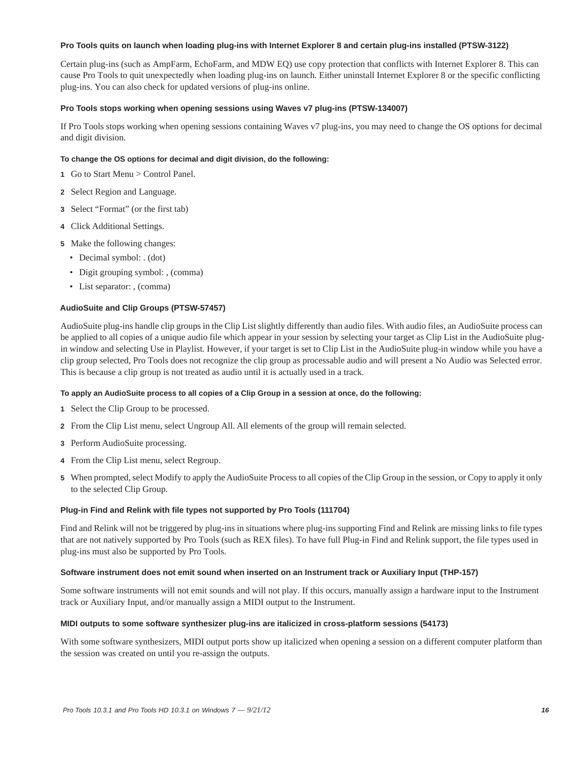#### **Pro Tools quits on launch when loading plug-ins with Internet Explorer 8 and certain plug-ins installed (PTSW-3122)**

Certain plug-ins (such as AmpFarm, EchoFarm, and MDW EQ) use copy protection that conflicts with Internet Explorer 8. This can cause Pro Tools to quit unexpectedly when loading plug-ins on launch. Either uninstall Internet Explorer 8 or the specific conflicting plug-ins. You can also check for updated versions of plug-ins online.

# **Pro Tools stops working when opening sessions using Waves v7 plug-ins (PTSW-134007)**

If Pro Tools stops working when opening sessions containing Waves v7 plug-ins, you may need to change the OS options for decimal and digit division.

# **To change the OS options for decimal and digit division, do the following:**

- **1** Go to Start Menu > Control Panel.
- **2** Select Region and Language.
- **3** Select "Format" (or the first tab)
- **4** Click Additional Settings.
- **5** Make the following changes:
	- Decimal symbol: . (dot)
	- Digit grouping symbol: , (comma)
	- List separator: , (comma)

# **AudioSuite and Clip Groups (PTSW-57457)**

AudioSuite plug-ins handle clip groups in the Clip List slightly differently than audio files. With audio files, an AudioSuite process can be applied to all copies of a unique audio file which appear in your session by selecting your target as Clip List in the AudioSuite plugin window and selecting Use in Playlist. However, if your target is set to Clip List in the AudioSuite plug-in window while you have a clip group selected, Pro Tools does not recognize the clip group as processable audio and will present a No Audio was Selected error. This is because a clip group is not treated as audio until it is actually used in a track.

# **To apply an AudioSuite process to all copies of a Clip Group in a session at once, do the following:**

- **1** Select the Clip Group to be processed.
- **2** From the Clip List menu, select Ungroup All. All elements of the group will remain selected.
- **3** Perform AudioSuite processing.
- **4** From the Clip List menu, select Regroup.
- **5** When prompted, select Modify to apply the AudioSuite Process to all copies of the Clip Group in the session, or Copy to apply it only to the selected Clip Group.

# **Plug-in Find and Relink with file types not supported by Pro Tools (111704)**

Find and Relink will not be triggered by plug-ins in situations where plug-ins supporting Find and Relink are missing links to file types that are not natively supported by Pro Tools (such as REX files). To have full Plug-in Find and Relink support, the file types used in plug-ins must also be supported by Pro Tools.

#### **Software instrument does not emit sound when inserted on an Instrument track or Auxiliary Input (THP-157)**

Some software instruments will not emit sounds and will not play. If this occurs, manually assign a hardware input to the Instrument track or Auxiliary Input, and/or manually assign a MIDI output to the Instrument.

#### **MIDI outputs to some software synthesizer plug-ins are italicized in cross-platform sessions (54173)**

With some software synthesizers, MIDI output ports show up italicized when opening a session on a different computer platform than the session was created on until you re-assign the outputs.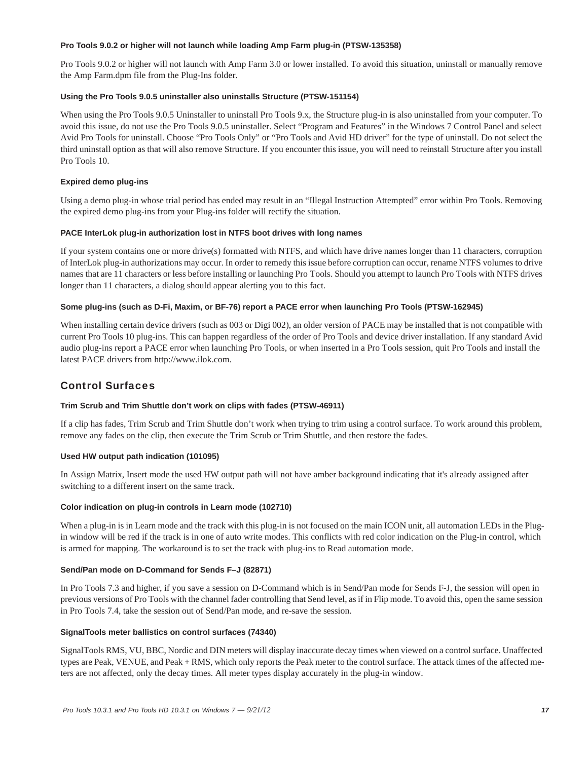### **Pro Tools 9.0.2 or higher will not launch while loading Amp Farm plug-in (PTSW-135358)**

Pro Tools 9.0.2 or higher will not launch with Amp Farm 3.0 or lower installed. To avoid this situation, uninstall or manually remove the Amp Farm.dpm file from the Plug-Ins folder.

### **Using the Pro Tools 9.0.5 uninstaller also uninstalls Structure (PTSW-151154)**

When using the Pro Tools 9.0.5 Uninstaller to uninstall Pro Tools 9.x, the Structure plug-in is also uninstalled from your computer. To avoid this issue, do not use the Pro Tools 9.0.5 uninstaller. Select "Program and Features" in the Windows 7 Control Panel and select Avid Pro Tools for uninstall. Choose "Pro Tools Only" or "Pro Tools and Avid HD driver" for the type of uninstall. Do not select the third uninstall option as that will also remove Structure. If you encounter this issue, you will need to reinstall Structure after you install Pro Tools 10.

#### **Expired demo plug-ins**

Using a demo plug-in whose trial period has ended may result in an "Illegal Instruction Attempted" error within Pro Tools. Removing the expired demo plug-ins from your Plug-ins folder will rectify the situation.

#### **PACE InterLok plug-in authorization lost in NTFS boot drives with long names**

If your system contains one or more drive(s) formatted with NTFS, and which have drive names longer than 11 characters, corruption of InterLok plug-in authorizations may occur. In order to remedy this issue before corruption can occur, rename NTFS volumes to drive names that are 11 characters or less before installing or launching Pro Tools. Should you attempt to launch Pro Tools with NTFS drives longer than 11 characters, a dialog should appear alerting you to this fact.

#### **Some plug-ins (such as D-Fi, Maxim, or BF-76) report a PACE error when launching Pro Tools (PTSW-162945)**

When installing certain device drivers (such as 003 or Digi 002), an older version of PACE may be installed that is not compatible with current Pro Tools 10 plug-ins. This can happen regardless of the order of Pro Tools and device driver installation. If any standard Avid audio plug-ins report a PACE error when launching Pro Tools, or when inserted in a Pro Tools session, quit Pro Tools and install the latest PACE drivers from http://www.ilok.com.

# Control Surfaces

#### **Trim Scrub and Trim Shuttle don't work on clips with fades (PTSW-46911)**

If a clip has fades, Trim Scrub and Trim Shuttle don't work when trying to trim using a control surface. To work around this problem, remove any fades on the clip, then execute the Trim Scrub or Trim Shuttle, and then restore the fades.

# **Used HW output path indication (101095)**

In Assign Matrix, Insert mode the used HW output path will not have amber background indicating that it's already assigned after switching to a different insert on the same track.

#### **Color indication on plug-in controls in Learn mode (102710)**

When a plug-in is in Learn mode and the track with this plug-in is not focused on the main ICON unit, all automation LEDs in the Plugin window will be red if the track is in one of auto write modes. This conflicts with red color indication on the Plug-in control, which is armed for mapping. The workaround is to set the track with plug-ins to Read automation mode.

#### **Send/Pan mode on D-Command for Sends F–J (82871)**

In Pro Tools 7.3 and higher, if you save a session on D-Command which is in Send/Pan mode for Sends F-J, the session will open in previous versions of Pro Tools with the channel fader controlling that Send level, as if in Flip mode. To avoid this, open the same session in Pro Tools 7.4, take the session out of Send/Pan mode, and re-save the session.

#### **SignalTools meter ballistics on control surfaces (74340)**

SignalTools RMS, VU, BBC, Nordic and DIN meters will display inaccurate decay times when viewed on a control surface. Unaffected types are Peak, VENUE, and Peak + RMS, which only reports the Peak meter to the control surface. The attack times of the affected meters are not affected, only the decay times. All meter types display accurately in the plug-in window.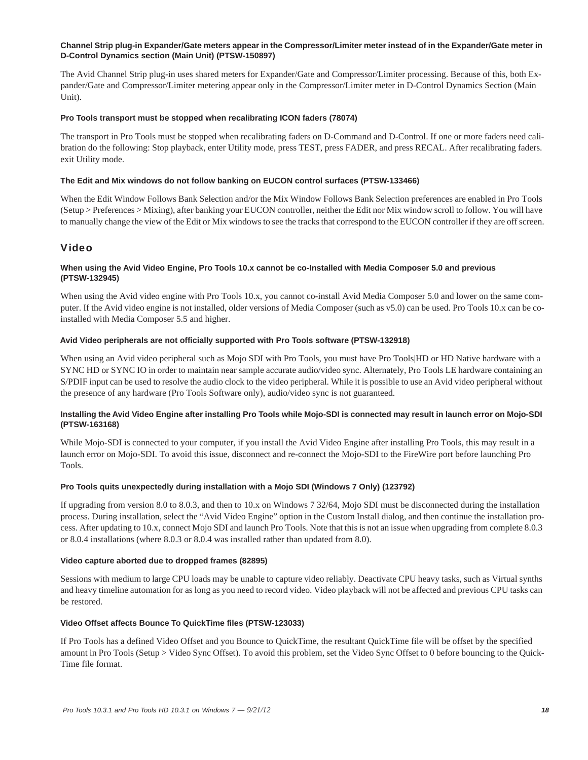# **Channel Strip plug-in Expander/Gate meters appear in the Compressor/Limiter meter instead of in the Expander/Gate meter in D-Control Dynamics section (Main Unit) (PTSW-150897)**

The Avid Channel Strip plug-in uses shared meters for Expander/Gate and Compressor/Limiter processing. Because of this, both Expander/Gate and Compressor/Limiter metering appear only in the Compressor/Limiter meter in D-Control Dynamics Section (Main Unit).

#### **Pro Tools transport must be stopped when recalibrating ICON faders (78074)**

The transport in Pro Tools must be stopped when recalibrating faders on D-Command and D-Control. If one or more faders need calibration do the following: Stop playback, enter Utility mode, press TEST, press FADER, and press RECAL. After recalibrating faders. exit Utility mode.

### **The Edit and Mix windows do not follow banking on EUCON control surfaces (PTSW-133466)**

When the Edit Window Follows Bank Selection and/or the Mix Window Follows Bank Selection preferences are enabled in Pro Tools (Setup > Preferences > Mixing), after banking your EUCON controller, neither the Edit nor Mix window scroll to follow. You will have to manually change the view of the Edit or Mix windows to see the tracks that correspond to the EUCON controller if they are off screen.

# Video

### **When using the Avid Video Engine, Pro Tools 10.x cannot be co-Installed with Media Composer 5.0 and previous (PTSW-132945)**

When using the Avid video engine with Pro Tools 10.x, you cannot co-install Avid Media Composer 5.0 and lower on the same computer. If the Avid video engine is not installed, older versions of Media Composer (such as v5.0) can be used. Pro Tools 10.x can be coinstalled with Media Composer 5.5 and higher.

#### **Avid Video peripherals are not officially supported with Pro Tools software (PTSW-132918)**

When using an Avid video peripheral such as Mojo SDI with Pro Tools, you must have Pro Tools|HD or HD Native hardware with a SYNC HD or SYNC IO in order to maintain near sample accurate audio/video sync. Alternately, Pro Tools LE hardware containing an S/PDIF input can be used to resolve the audio clock to the video peripheral. While it is possible to use an Avid video peripheral without the presence of any hardware (Pro Tools Software only), audio/video sync is not guaranteed.

# **Installing the Avid Video Engine after installing Pro Tools while Mojo-SDI is connected may result in launch error on Mojo-SDI (PTSW-163168)**

While Mojo-SDI is connected to your computer, if you install the Avid Video Engine after installing Pro Tools, this may result in a launch error on Mojo-SDI. To avoid this issue, disconnect and re-connect the Mojo-SDI to the FireWire port before launching Pro Tools.

# **Pro Tools quits unexpectedly during installation with a Mojo SDI (Windows 7 Only) (123792)**

If upgrading from version 8.0 to 8.0.3, and then to 10.x on Windows 7 32/64, Mojo SDI must be disconnected during the installation process. During installation, select the "Avid Video Engine" option in the Custom Install dialog, and then continue the installation process. After updating to 10.x, connect Mojo SDI and launch Pro Tools. Note that this is not an issue when upgrading from complete 8.0.3 or 8.0.4 installations (where 8.0.3 or 8.0.4 was installed rather than updated from 8.0).

# **Video capture aborted due to dropped frames (82895)**

Sessions with medium to large CPU loads may be unable to capture video reliably. Deactivate CPU heavy tasks, such as Virtual synths and heavy timeline automation for as long as you need to record video. Video playback will not be affected and previous CPU tasks can be restored.

#### **Video Offset affects Bounce To QuickTime files (PTSW-123033)**

If Pro Tools has a defined Video Offset and you Bounce to QuickTime, the resultant QuickTime file will be offset by the specified amount in Pro Tools (Setup > Video Sync Offset). To avoid this problem, set the Video Sync Offset to 0 before bouncing to the Quick-Time file format.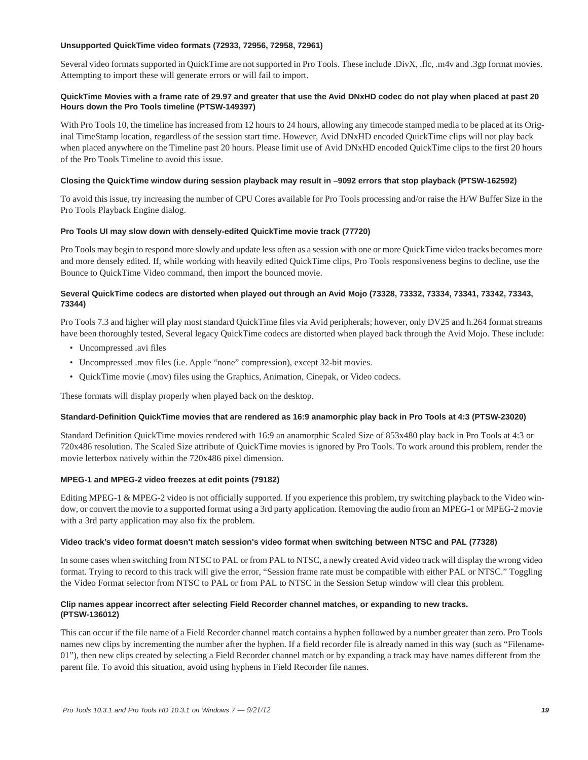#### **Unsupported QuickTime video formats (72933, 72956, 72958, 72961)**

Several video formats supported in QuickTime are not supported in Pro Tools. These include .DivX, .flc, .m4v and .3gp format movies. Attempting to import these will generate errors or will fail to import.

# **QuickTime Movies with a frame rate of 29.97 and greater that use the Avid DNxHD codec do not play when placed at past 20 Hours down the Pro Tools timeline (PTSW-149397)**

With Pro Tools 10, the timeline has increased from 12 hours to 24 hours, allowing any timecode stamped media to be placed at its Original TimeStamp location, regardless of the session start time. However, Avid DNxHD encoded QuickTime clips will not play back when placed anywhere on the Timeline past 20 hours. Please limit use of Avid DNxHD encoded QuickTime clips to the first 20 hours of the Pro Tools Timeline to avoid this issue.

#### **Closing the QuickTime window during session playback may result in –9092 errors that stop playback (PTSW-162592)**

To avoid this issue, try increasing the number of CPU Cores available for Pro Tools processing and/or raise the H/W Buffer Size in the Pro Tools Playback Engine dialog.

#### **Pro Tools UI may slow down with densely-edited QuickTime movie track (77720)**

Pro Tools may begin to respond more slowly and update less often as a session with one or more QuickTime video tracks becomes more and more densely edited. If, while working with heavily edited QuickTime clips, Pro Tools responsiveness begins to decline, use the Bounce to QuickTime Video command, then import the bounced movie.

### **Several QuickTime codecs are distorted when played out through an Avid Mojo (73328, 73332, 73334, 73341, 73342, 73343, 73344)**

Pro Tools 7.3 and higher will play most standard QuickTime files via Avid peripherals; however, only DV25 and h.264 format streams have been thoroughly tested, Several legacy QuickTime codecs are distorted when played back through the Avid Mojo. These include:

- Uncompressed .avi files
- Uncompressed .mov files (i.e. Apple "none" compression), except 32-bit movies.
- QuickTime movie (.mov) files using the Graphics, Animation, Cinepak, or Video codecs.

These formats will display properly when played back on the desktop.

# **Standard-Definition QuickTime movies that are rendered as 16:9 anamorphic play back in Pro Tools at 4:3 (PTSW-23020)**

Standard Definition QuickTime movies rendered with 16:9 an anamorphic Scaled Size of 853x480 play back in Pro Tools at 4:3 or 720x486 resolution. The Scaled Size attribute of QuickTime movies is ignored by Pro Tools. To work around this problem, render the movie letterbox natively within the 720x486 pixel dimension.

# **MPEG-1 and MPEG-2 video freezes at edit points (79182)**

Editing MPEG-1 & MPEG-2 video is not officially supported. If you experience this problem, try switching playback to the Video window, or convert the movie to a supported format using a 3rd party application. Removing the audio from an MPEG-1 or MPEG-2 movie with a 3rd party application may also fix the problem.

# **Video track's video format doesn't match session's video format when switching between NTSC and PAL (77328)**

In some cases when switching from NTSC to PAL or from PAL to NTSC, a newly created Avid video track will display the wrong video format. Trying to record to this track will give the error, "Session frame rate must be compatible with either PAL or NTSC." Toggling the Video Format selector from NTSC to PAL or from PAL to NTSC in the Session Setup window will clear this problem.

# **Clip names appear incorrect after selecting Field Recorder channel matches, or expanding to new tracks. (PTSW-136012)**

This can occur if the file name of a Field Recorder channel match contains a hyphen followed by a number greater than zero. Pro Tools names new clips by incrementing the number after the hyphen. If a field recorder file is already named in this way (such as "Filename-01"), then new clips created by selecting a Field Recorder channel match or by expanding a track may have names different from the parent file. To avoid this situation, avoid using hyphens in Field Recorder file names.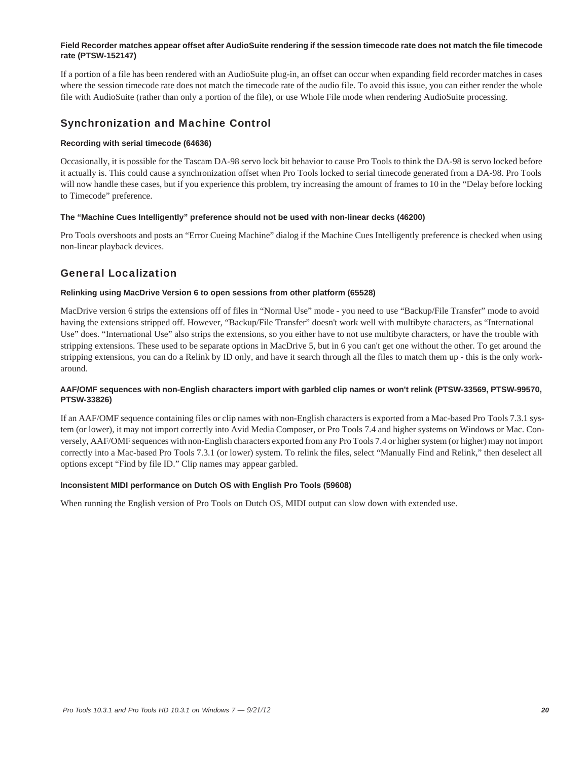### **Field Recorder matches appear offset after AudioSuite rendering if the session timecode rate does not match the file timecode rate (PTSW-152147)**

If a portion of a file has been rendered with an AudioSuite plug-in, an offset can occur when expanding field recorder matches in cases where the session timecode rate does not match the timecode rate of the audio file. To avoid this issue, you can either render the whole file with AudioSuite (rather than only a portion of the file), or use Whole File mode when rendering AudioSuite processing.

# Synchronization and Machine Control

# **Recording with serial timecode (64636)**

Occasionally, it is possible for the Tascam DA-98 servo lock bit behavior to cause Pro Tools to think the DA-98 is servo locked before it actually is. This could cause a synchronization offset when Pro Tools locked to serial timecode generated from a DA-98. Pro Tools will now handle these cases, but if you experience this problem, try increasing the amount of frames to 10 in the "Delay before locking to Timecode" preference.

#### **The "Machine Cues Intelligently" preference should not be used with non-linear decks (46200)**

Pro Tools overshoots and posts an "Error Cueing Machine" dialog if the Machine Cues Intelligently preference is checked when using non-linear playback devices.

# General Localization

# **Relinking using MacDrive Version 6 to open sessions from other platform (65528)**

MacDrive version 6 strips the extensions off of files in "Normal Use" mode - you need to use "Backup/File Transfer" mode to avoid having the extensions stripped off. However, "Backup/File Transfer" doesn't work well with multibyte characters, as "International Use" does. "International Use" also strips the extensions, so you either have to not use multibyte characters, or have the trouble with stripping extensions. These used to be separate options in MacDrive 5, but in 6 you can't get one without the other. To get around the stripping extensions, you can do a Relink by ID only, and have it search through all the files to match them up - this is the only workaround.

# **AAF/OMF sequences with non-English characters import with garbled clip names or won't relink (PTSW-33569, PTSW-99570, PTSW-33826)**

If an AAF/OMF sequence containing files or clip names with non-English characters is exported from a Mac-based Pro Tools 7.3.1 system (or lower), it may not import correctly into Avid Media Composer, or Pro Tools 7.4 and higher systems on Windows or Mac. Conversely, AAF/OMF sequences with non-English characters exported from any Pro Tools 7.4 or higher system (or higher) may not import correctly into a Mac-based Pro Tools 7.3.1 (or lower) system. To relink the files, select "Manually Find and Relink," then deselect all options except "Find by file ID." Clip names may appear garbled.

# **Inconsistent MIDI performance on Dutch OS with English Pro Tools (59608)**

When running the English version of Pro Tools on Dutch OS, MIDI output can slow down with extended use.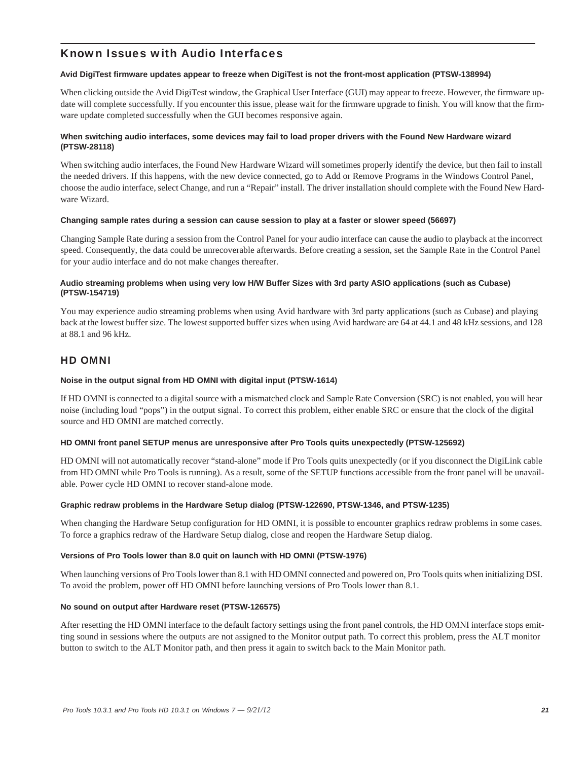# Known Issues with Audio Interfaces

# **Avid DigiTest firmware updates appear to freeze when DigiTest is not the front-most application (PTSW-138994)**

When clicking outside the Avid DigiTest window, the Graphical User Interface (GUI) may appear to freeze. However, the firmware update will complete successfully. If you encounter this issue, please wait for the firmware upgrade to finish. You will know that the firmware update completed successfully when the GUI becomes responsive again.

# **When switching audio interfaces, some devices may fail to load proper drivers with the Found New Hardware wizard (PTSW-28118)**

When switching audio interfaces, the Found New Hardware Wizard will sometimes properly identify the device, but then fail to install the needed drivers. If this happens, with the new device connected, go to Add or Remove Programs in the Windows Control Panel, choose the audio interface, select Change, and run a "Repair" install. The driver installation should complete with the Found New Hardware Wizard.

#### **Changing sample rates during a session can cause session to play at a faster or slower speed (56697)**

Changing Sample Rate during a session from the Control Panel for your audio interface can cause the audio to playback at the incorrect speed. Consequently, the data could be unrecoverable afterwards. Before creating a session, set the Sample Rate in the Control Panel for your audio interface and do not make changes thereafter.

# **Audio streaming problems when using very low H/W Buffer Sizes with 3rd party ASIO applications (such as Cubase) (PTSW-154719)**

You may experience audio streaming problems when using Avid hardware with 3rd party applications (such as Cubase) and playing back at the lowest buffer size. The lowest supported buffer sizes when using Avid hardware are 64 at 44.1 and 48 kHz sessions, and 128 at 88.1 and 96 kHz.

# HD OMNI

# **Noise in the output signal from HD OMNI with digital input (PTSW-1614)**

If HD OMNI is connected to a digital source with a mismatched clock and Sample Rate Conversion (SRC) is not enabled, you will hear noise (including loud "pops") in the output signal. To correct this problem, either enable SRC or ensure that the clock of the digital source and HD OMNI are matched correctly.

# **HD OMNI front panel SETUP menus are unresponsive after Pro Tools quits unexpectedly (PTSW-125692)**

HD OMNI will not automatically recover "stand-alone" mode if Pro Tools quits unexpectedly (or if you disconnect the DigiLink cable from HD OMNI while Pro Tools is running). As a result, some of the SETUP functions accessible from the front panel will be unavailable. Power cycle HD OMNI to recover stand-alone mode.

# **Graphic redraw problems in the Hardware Setup dialog (PTSW-122690, PTSW-1346, and PTSW-1235)**

When changing the Hardware Setup configuration for HD OMNI, it is possible to encounter graphics redraw problems in some cases. To force a graphics redraw of the Hardware Setup dialog, close and reopen the Hardware Setup dialog.

# **Versions of Pro Tools lower than 8.0 quit on launch with HD OMNI (PTSW-1976)**

When launching versions of Pro Tools lower than 8.1 with HD OMNI connected and powered on, Pro Tools quits when initializing DSI. To avoid the problem, power off HD OMNI before launching versions of Pro Tools lower than 8.1.

#### **No sound on output after Hardware reset (PTSW-126575)**

After resetting the HD OMNI interface to the default factory settings using the front panel controls, the HD OMNI interface stops emitting sound in sessions where the outputs are not assigned to the Monitor output path. To correct this problem, press the ALT monitor button to switch to the ALT Monitor path, and then press it again to switch back to the Main Monitor path.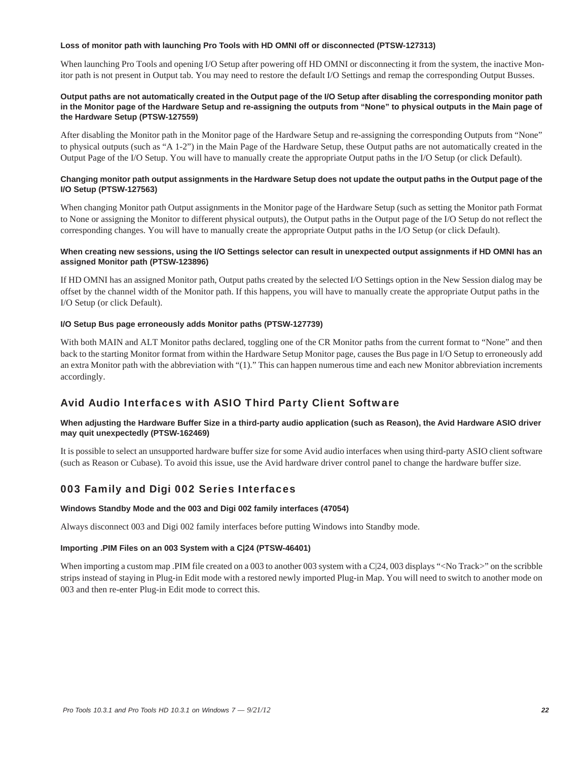#### **Loss of monitor path with launching Pro Tools with HD OMNI off or disconnected (PTSW-127313)**

When launching Pro Tools and opening I/O Setup after powering off HD OMNI or disconnecting it from the system, the inactive Monitor path is not present in Output tab. You may need to restore the default I/O Settings and remap the corresponding Output Busses.

### **Output paths are not automatically created in the Output page of the I/O Setup after disabling the corresponding monitor path in the Monitor page of the Hardware Setup and re-assigning the outputs from "None" to physical outputs in the Main page of the Hardware Setup (PTSW-127559)**

After disabling the Monitor path in the Monitor page of the Hardware Setup and re-assigning the corresponding Outputs from "None" to physical outputs (such as "A 1-2") in the Main Page of the Hardware Setup, these Output paths are not automatically created in the Output Page of the I/O Setup. You will have to manually create the appropriate Output paths in the I/O Setup (or click Default).

# **Changing monitor path output assignments in the Hardware Setup does not update the output paths in the Output page of the I/O Setup (PTSW-127563)**

When changing Monitor path Output assignments in the Monitor page of the Hardware Setup (such as setting the Monitor path Format to None or assigning the Monitor to different physical outputs), the Output paths in the Output page of the I/O Setup do not reflect the corresponding changes. You will have to manually create the appropriate Output paths in the I/O Setup (or click Default).

### When creating new sessions, using the I/O Settings selector can result in unexpected output assignments if HD OMNI has an **assigned Monitor path (PTSW-123896)**

If HD OMNI has an assigned Monitor path, Output paths created by the selected I/O Settings option in the New Session dialog may be offset by the channel width of the Monitor path. If this happens, you will have to manually create the appropriate Output paths in the I/O Setup (or click Default).

# **I/O Setup Bus page erroneously adds Monitor paths (PTSW-127739)**

With both MAIN and ALT Monitor paths declared, toggling one of the CR Monitor paths from the current format to "None" and then back to the starting Monitor format from within the Hardware Setup Monitor page, causes the Bus page in I/O Setup to erroneously add an extra Monitor path with the abbreviation with "(1)." This can happen numerous time and each new Monitor abbreviation increments accordingly.

# Avid Audio Interfaces with ASIO Third Party Client Software

# **When adjusting the Hardware Buffer Size in a third-party audio application (such as Reason), the Avid Hardware ASIO driver may quit unexpectedly (PTSW-162469)**

It is possible to select an unsupported hardware buffer size for some Avid audio interfaces when using third-party ASIO client software (such as Reason or Cubase). To avoid this issue, use the Avid hardware driver control panel to change the hardware buffer size.

# 003 Family and Digi 002 Series Interfaces

#### **Windows Standby Mode and the 003 and Digi 002 family interfaces (47054)**

Always disconnect 003 and Digi 002 family interfaces before putting Windows into Standby mode.

#### **Importing .PIM Files on an 003 System with a C|24 (PTSW-46401)**

When importing a custom map .PIM file created on a 003 to another 003 system with a C|24, 003 displays "<No Track>" on the scribble strips instead of staying in Plug-in Edit mode with a restored newly imported Plug-in Map. You will need to switch to another mode on 003 and then re-enter Plug-in Edit mode to correct this.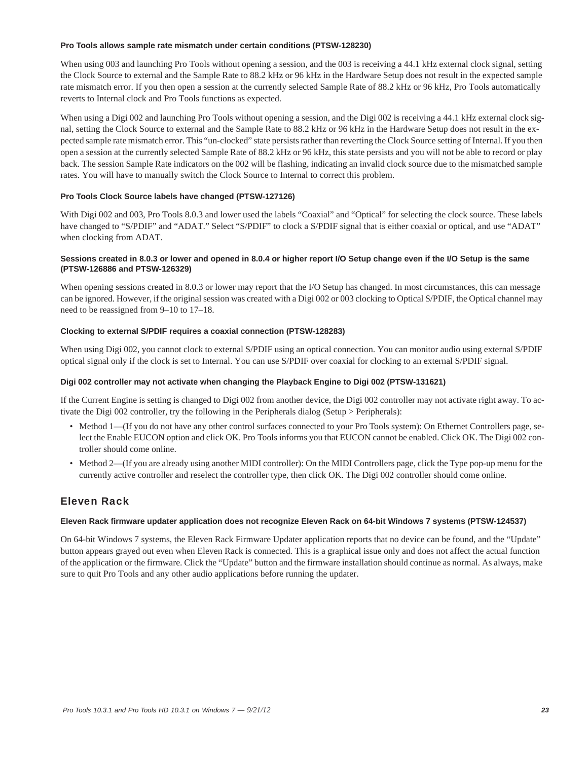#### **Pro Tools allows sample rate mismatch under certain conditions (PTSW-128230)**

When using 003 and launching Pro Tools without opening a session, and the 003 is receiving a 44.1 kHz external clock signal, setting the Clock Source to external and the Sample Rate to 88.2 kHz or 96 kHz in the Hardware Setup does not result in the expected sample rate mismatch error. If you then open a session at the currently selected Sample Rate of 88.2 kHz or 96 kHz, Pro Tools automatically reverts to Internal clock and Pro Tools functions as expected.

When using a Digi 002 and launching Pro Tools without opening a session, and the Digi 002 is receiving a 44.1 kHz external clock signal, setting the Clock Source to external and the Sample Rate to 88.2 kHz or 96 kHz in the Hardware Setup does not result in the expected sample rate mismatch error. This "un-clocked" state persists rather than reverting the Clock Source setting of Internal. If you then open a session at the currently selected Sample Rate of 88.2 kHz or 96 kHz, this state persists and you will not be able to record or play back. The session Sample Rate indicators on the 002 will be flashing, indicating an invalid clock source due to the mismatched sample rates. You will have to manually switch the Clock Source to Internal to correct this problem.

# **Pro Tools Clock Source labels have changed (PTSW-127126)**

With Digi 002 and 003, Pro Tools 8.0.3 and lower used the labels "Coaxial" and "Optical" for selecting the clock source. These labels have changed to "S/PDIF" and "ADAT." Select "S/PDIF" to clock a S/PDIF signal that is either coaxial or optical, and use "ADAT" when clocking from ADAT.

# **Sessions created in 8.0.3 or lower and opened in 8.0.4 or higher report I/O Setup change even if the I/O Setup is the same (PTSW-126886 and PTSW-126329)**

When opening sessions created in 8.0.3 or lower may report that the I/O Setup has changed. In most circumstances, this can message can be ignored. However, if the original session was created with a Digi 002 or 003 clocking to Optical S/PDIF, the Optical channel may need to be reassigned from 9–10 to 17–18.

# **Clocking to external S/PDIF requires a coaxial connection (PTSW-128283)**

When using Digi 002, you cannot clock to external S/PDIF using an optical connection. You can monitor audio using external S/PDIF optical signal only if the clock is set to Internal. You can use S/PDIF over coaxial for clocking to an external S/PDIF signal.

# **Digi 002 controller may not activate when changing the Playback Engine to Digi 002 (PTSW-131621)**

If the Current Engine is setting is changed to Digi 002 from another device, the Digi 002 controller may not activate right away. To activate the Digi 002 controller, try the following in the Peripherals dialog (Setup > Peripherals):

- Method 1—(If you do not have any other control surfaces connected to your Pro Tools system): On Ethernet Controllers page, select the Enable EUCON option and click OK. Pro Tools informs you that EUCON cannot be enabled. Click OK. The Digi 002 controller should come online.
- Method 2—(If you are already using another MIDI controller): On the MIDI Controllers page, click the Type pop-up menu for the currently active controller and reselect the controller type, then click OK. The Digi 002 controller should come online.

# Eleven Rack

# **Eleven Rack firmware updater application does not recognize Eleven Rack on 64-bit Windows 7 systems (PTSW-124537)**

On 64-bit Windows 7 systems, the Eleven Rack Firmware Updater application reports that no device can be found, and the "Update" button appears grayed out even when Eleven Rack is connected. This is a graphical issue only and does not affect the actual function of the application or the firmware. Click the "Update" button and the firmware installation should continue as normal. As always, make sure to quit Pro Tools and any other audio applications before running the updater.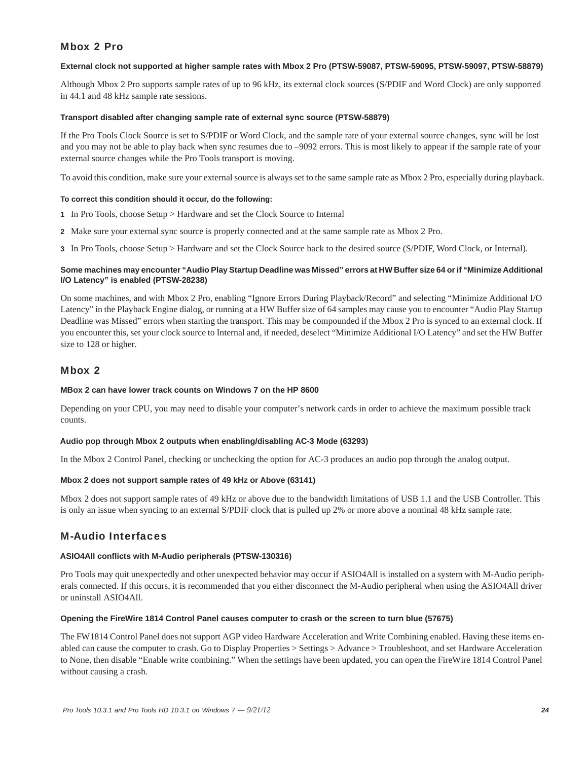# Mbox 2 Pro

#### **External clock not supported at higher sample rates with Mbox 2 Pro (PTSW-59087, PTSW-59095, PTSW-59097, PTSW-58879)**

Although Mbox 2 Pro supports sample rates of up to 96 kHz, its external clock sources (S/PDIF and Word Clock) are only supported in 44.1 and 48 kHz sample rate sessions.

#### **Transport disabled after changing sample rate of external sync source (PTSW-58879)**

If the Pro Tools Clock Source is set to S/PDIF or Word Clock, and the sample rate of your external source changes, sync will be lost and you may not be able to play back when sync resumes due to –9092 errors. This is most likely to appear if the sample rate of your external source changes while the Pro Tools transport is moving.

To avoid this condition, make sure your external source is always set to the same sample rate as Mbox 2 Pro, especially during playback.

#### **To correct this condition should it occur, do the following:**

- **1** In Pro Tools, choose Setup > Hardware and set the Clock Source to Internal
- **2** Make sure your external sync source is properly connected and at the same sample rate as Mbox 2 Pro.
- **3** In Pro Tools, choose Setup > Hardware and set the Clock Source back to the desired source (S/PDIF, Word Clock, or Internal).

### **Some machines may encounter "Audio Play Startup Deadline was Missed" errors at HW Buffer size 64 or if "Minimize Additional I/O Latency" is enabled (PTSW-28238)**

On some machines, and with Mbox 2 Pro, enabling "Ignore Errors During Playback/Record" and selecting "Minimize Additional I/O Latency" in the Playback Engine dialog, or running at a HW Buffer size of 64 samples may cause you to encounter "Audio Play Startup Deadline was Missed" errors when starting the transport. This may be compounded if the Mbox 2 Pro is synced to an external clock. If you encounter this, set your clock source to Internal and, if needed, deselect "Minimize Additional I/O Latency" and set the HW Buffer size to 128 or higher.

# Mbox 2

# **MBox 2 can have lower track counts on Windows 7 on the HP 8600**

Depending on your CPU, you may need to disable your computer's network cards in order to achieve the maximum possible track counts.

# **Audio pop through Mbox 2 outputs when enabling/disabling AC-3 Mode (63293)**

In the Mbox 2 Control Panel, checking or unchecking the option for AC-3 produces an audio pop through the analog output.

# **Mbox 2 does not support sample rates of 49 kHz or Above (63141)**

Mbox 2 does not support sample rates of 49 kHz or above due to the bandwidth limitations of USB 1.1 and the USB Controller. This is only an issue when syncing to an external S/PDIF clock that is pulled up 2% or more above a nominal 48 kHz sample rate.

# M-Audio Interfaces

#### **ASIO4All conflicts with M-Audio peripherals (PTSW-130316)**

Pro Tools may quit unexpectedly and other unexpected behavior may occur if ASIO4All is installed on a system with M-Audio peripherals connected. If this occurs, it is recommended that you either disconnect the M-Audio peripheral when using the ASIO4All driver or uninstall ASIO4All.

# **Opening the FireWire 1814 Control Panel causes computer to crash or the screen to turn blue (57675)**

The FW1814 Control Panel does not support AGP video Hardware Acceleration and Write Combining enabled. Having these items enabled can cause the computer to crash. Go to Display Properties > Settings > Advance > Troubleshoot, and set Hardware Acceleration to None, then disable "Enable write combining." When the settings have been updated, you can open the FireWire 1814 Control Panel without causing a crash.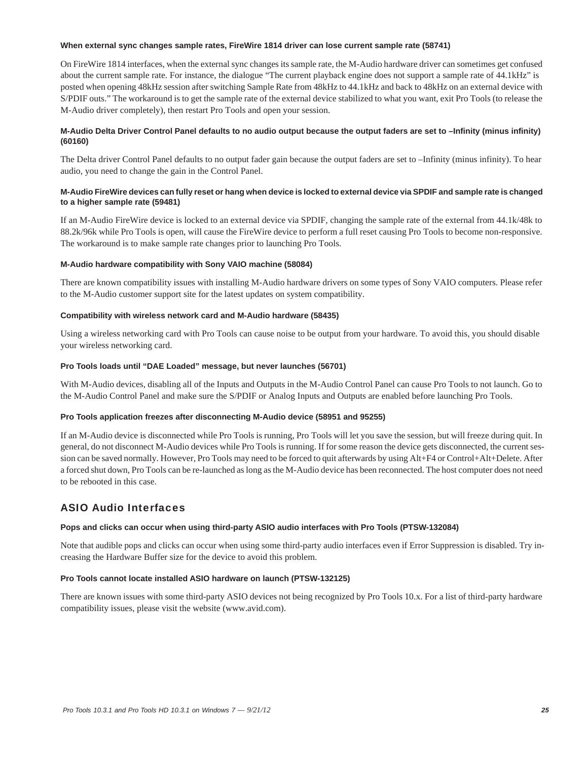#### **When external sync changes sample rates, FireWire 1814 driver can lose current sample rate (58741)**

On FireWire 1814 interfaces, when the external sync changes its sample rate, the M-Audio hardware driver can sometimes get confused about the current sample rate. For instance, the dialogue "The current playback engine does not support a sample rate of 44.1kHz" is posted when opening 48kHz session after switching Sample Rate from 48kHz to 44.1kHz and back to 48kHz on an external device with S/PDIF outs." The workaround is to get the sample rate of the external device stabilized to what you want, exit Pro Tools (to release the M-Audio driver completely), then restart Pro Tools and open your session.

# **M-Audio Delta Driver Control Panel defaults to no audio output because the output faders are set to –Infinity (minus infinity) (60160)**

The Delta driver Control Panel defaults to no output fader gain because the output faders are set to –Infinity (minus infinity). To hear audio, you need to change the gain in the Control Panel.

### **M-Audio FireWire devices can fully reset or hang when device is locked to external device via SPDIF and sample rate is changed to a higher sample rate (59481)**

If an M-Audio FireWire device is locked to an external device via SPDIF, changing the sample rate of the external from 44.1k/48k to 88.2k/96k while Pro Tools is open, will cause the FireWire device to perform a full reset causing Pro Tools to become non-responsive. The workaround is to make sample rate changes prior to launching Pro Tools.

# **M-Audio hardware compatibility with Sony VAIO machine (58084)**

There are known compatibility issues with installing M-Audio hardware drivers on some types of Sony VAIO computers. Please refer to the M-Audio customer support site for the latest updates on system compatibility.

# **Compatibility with wireless network card and M-Audio hardware (58435)**

Using a wireless networking card with Pro Tools can cause noise to be output from your hardware. To avoid this, you should disable your wireless networking card.

#### **Pro Tools loads until "DAE Loaded" message, but never launches (56701)**

With M-Audio devices, disabling all of the Inputs and Outputs in the M-Audio Control Panel can cause Pro Tools to not launch. Go to the M-Audio Control Panel and make sure the S/PDIF or Analog Inputs and Outputs are enabled before launching Pro Tools.

# **Pro Tools application freezes after disconnecting M-Audio device (58951 and 95255)**

If an M-Audio device is disconnected while Pro Tools is running, Pro Tools will let you save the session, but will freeze during quit. In general, do not disconnect M-Audio devices while Pro Tools is running. If for some reason the device gets disconnected, the current session can be saved normally. However, Pro Tools may need to be forced to quit afterwards by using Alt+F4 or Control+Alt+Delete. After a forced shut down, Pro Tools can be re-launched as long as the M-Audio device has been reconnected. The host computer does not need to be rebooted in this case.

# ASIO Audio Interfaces

# **Pops and clicks can occur when using third-party ASIO audio interfaces with Pro Tools (PTSW-132084)**

Note that audible pops and clicks can occur when using some third-party audio interfaces even if Error Suppression is disabled. Try increasing the Hardware Buffer size for the device to avoid this problem.

# **Pro Tools cannot locate installed ASIO hardware on launch (PTSW-132125)**

There are known issues with some third-party ASIO devices not being recognized by Pro Tools 10.x. For a list of third-party hardware compatibility issues, please visit the website (www.avid.com).